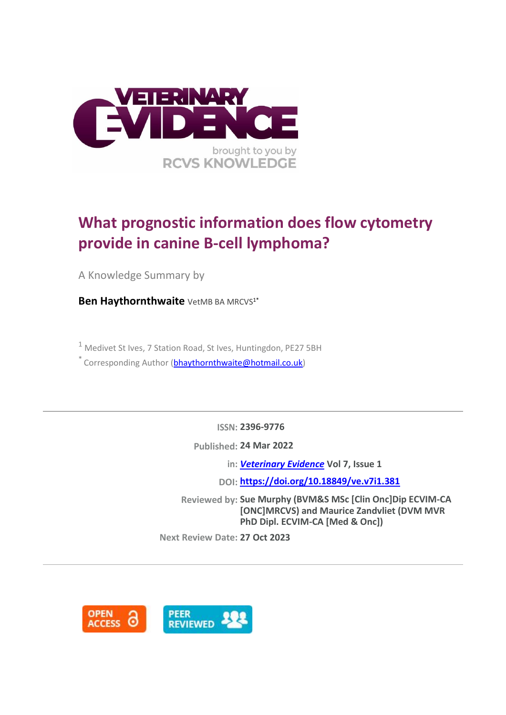

# **What prognostic information does flow cytometry provide in canine B-cell lymphoma?**

A Knowledge Summary by

**Ben Haythornthwaite** VetMB BA MRCVS<sup>1\*</sup>

<sup>1</sup> Medivet St Ives, 7 Station Road, St Ives, Huntingdon, PE27 5BH

 $*$  Corresponding Author [\(bhaythornthwaite@hotmail.co.uk\)](bhaythornthwaite@hotmail.co.uk)

**ISSN: 2396-9776**

**Published: 24 Mar 2022**

**in:** *[Veterinary Evidence](https://veterinaryevidence.org/index.php/ve)* **Vol 7, Issue 1**

**DOI: <https://doi.org/10.18849/ve.v7i1.381>**

**Reviewed by: Sue Murphy (BVM&S MSc [Clin Onc]Dip ECVIM-CA [ONC]MRCVS) and Maurice Zandvliet (DVM MVR PhD Dipl. ECVIM-CA [Med & Onc])**

**Next Review Date: 27 Oct 2023**

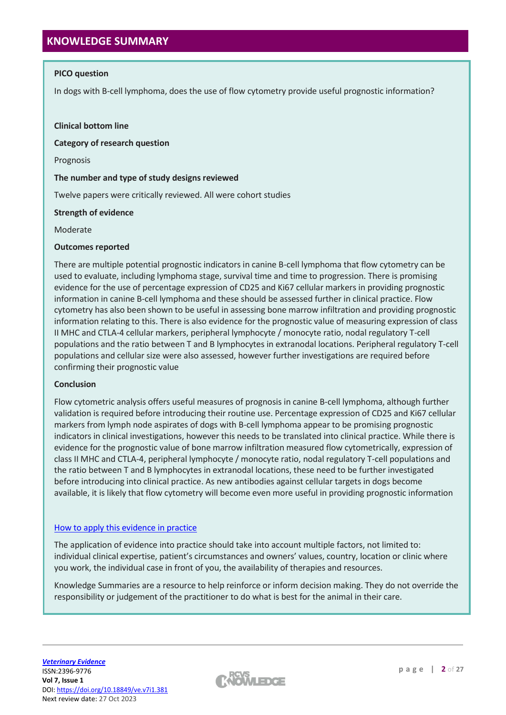### **PICO question**

In dogs with B-cell lymphoma, does the use of flow cytometry provide useful prognostic information?

#### **Clinical bottom line**

**Category of research question**

Prognosis

#### **The number and type of study designs reviewed**

Twelve papers were critically reviewed. All were cohort studies

#### **Strength of evidence**

Moderate

#### **Outcomes reported**

There are multiple potential prognostic indicators in canine B-cell lymphoma that flow cytometry can be used to evaluate, including lymphoma stage, survival time and time to progression. There is promising evidence for the use of percentage expression of CD25 and Ki67 cellular markers in providing prognostic information in canine B-cell lymphoma and these should be assessed further in clinical practice. Flow cytometry has also been shown to be useful in assessing bone marrow infiltration and providing prognostic information relating to this. There is also evidence for the prognostic value of measuring expression of class II MHC and CTLA-4 cellular markers, peripheral lymphocyte / monocyte ratio, nodal regulatory T-cell populations and the ratio between T and B lymphocytes in extranodal locations. Peripheral regulatory T-cell populations and cellular size were also assessed, however further investigations are required before confirming their prognostic value

#### **Conclusion**

Flow cytometric analysis offers useful measures of prognosis in canine B-cell lymphoma, although further validation is required before introducing their routine use. Percentage expression of CD25 and Ki67 cellular markers from lymph node aspirates of dogs with B-cell lymphoma appear to be promising prognostic indicators in clinical investigations, however this needs to be translated into clinical practice. While there is evidence for the prognostic value of bone marrow infiltration measured flow cytometrically, expression of class II MHC and CTLA-4, peripheral lymphocyte / monocyte ratio, nodal regulatory T-cell populations and the ratio between T and B lymphocytes in extranodal locations, these need to be further investigated before introducing into clinical practice. As new antibodies against cellular targets in dogs become available, it is likely that flow cytometry will become even more useful in providing prognostic information

#### [How to apply this evidence in practice](https://learn.rcvsknowledge.org/mod/book/view.php?id=50)

The application of evidence into practice should take into account multiple factors, not limited to: individual clinical expertise, patient's circumstances and owners' values, country, location or clinic where you work, the individual case in front of you, the availability of therapies and resources.

Knowledge Summaries are a resource to help reinforce or inform decision making. They do not override the responsibility or judgement of the practitioner to do what is best for the animal in their care.

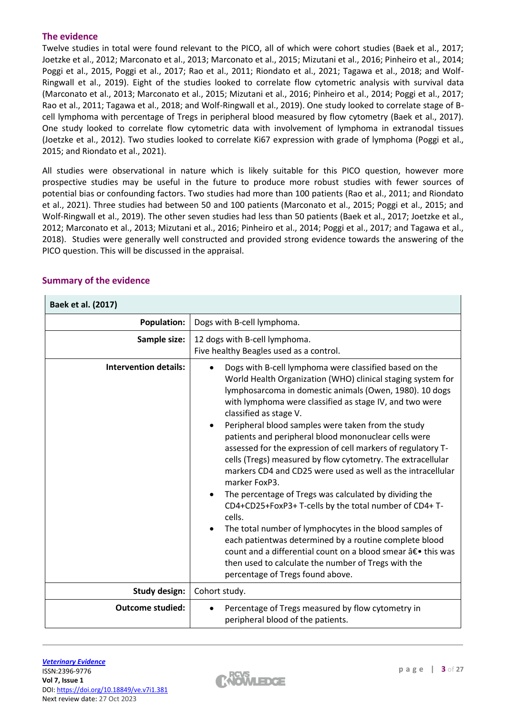# **The evidence**

Twelve studies in total were found relevant to the PICO, all of which were cohort studies (Baek et al., 2017; Joetzke et al., 2012; Marconato et al., 2013; Marconato et al., 2015; Mizutani et al., 2016; Pinheiro et al., 2014; Poggi et al., 2015, Poggi et al., 2017; Rao et al., 2011; Riondato et al., 2021; Tagawa et al., 2018; and Wolf-Ringwall et al., 2019). Eight of the studies looked to correlate flow cytometric analysis with survival data (Marconato et al., 2013; Marconato et al., 2015; Mizutani et al., 2016; Pinheiro et al., 2014; Poggi et al., 2017; Rao et al., 2011; Tagawa et al., 2018; and Wolf-Ringwall et al., 2019). One study looked to correlate stage of Bcell lymphoma with percentage of Tregs in peripheral blood measured by flow cytometry (Baek et al., 2017). One study looked to correlate flow cytometric data with involvement of lymphoma in extranodal tissues (Joetzke et al., 2012). Two studies looked to correlate Ki67 expression with grade of lymphoma (Poggi et al., 2015; and Riondato et al., 2021).

All studies were observational in nature which is likely suitable for this PICO question, however more prospective studies may be useful in the future to produce more robust studies with fewer sources of potential bias or confounding factors. Two studies had more than 100 patients (Rao et al., 2011; and Riondato et al., 2021). Three studies had between 50 and 100 patients (Marconato et al., 2015; Poggi et al., 2015; and Wolf-Ringwall et al., 2019). The other seven studies had less than 50 patients (Baek et al., 2017; Joetzke et al., 2012; Marconato et al., 2013; Mizutani et al., 2016; Pinheiro et al., 2014; Poggi et al., 2017; and Tagawa et al., 2018). Studies were generally well constructed and provided strong evidence towards the answering of the PICO question. This will be discussed in the appraisal.

| Baek et al. (2017)           |                                                                                                                                                                                                                                                                                                                                                                                                                                                                                                                                                                                                                                                                                                                                                                                                                                                                                                                                                                                                                            |
|------------------------------|----------------------------------------------------------------------------------------------------------------------------------------------------------------------------------------------------------------------------------------------------------------------------------------------------------------------------------------------------------------------------------------------------------------------------------------------------------------------------------------------------------------------------------------------------------------------------------------------------------------------------------------------------------------------------------------------------------------------------------------------------------------------------------------------------------------------------------------------------------------------------------------------------------------------------------------------------------------------------------------------------------------------------|
| <b>Population:</b>           | Dogs with B-cell lymphoma.                                                                                                                                                                                                                                                                                                                                                                                                                                                                                                                                                                                                                                                                                                                                                                                                                                                                                                                                                                                                 |
| Sample size:                 | 12 dogs with B-cell lymphoma.<br>Five healthy Beagles used as a control.                                                                                                                                                                                                                                                                                                                                                                                                                                                                                                                                                                                                                                                                                                                                                                                                                                                                                                                                                   |
| <b>Intervention details:</b> | Dogs with B-cell lymphoma were classified based on the<br>World Health Organization (WHO) clinical staging system for<br>lymphosarcoma in domestic animals (Owen, 1980). 10 dogs<br>with lymphoma were classified as stage IV, and two were<br>classified as stage V.<br>Peripheral blood samples were taken from the study<br>$\bullet$<br>patients and peripheral blood mononuclear cells were<br>assessed for the expression of cell markers of regulatory T-<br>cells (Tregs) measured by flow cytometry. The extracellular<br>markers CD4 and CD25 were used as well as the intracellular<br>marker FoxP3.<br>The percentage of Tregs was calculated by dividing the<br>CD4+CD25+FoxP3+T-cells by the total number of CD4+T-<br>cells.<br>The total number of lymphocytes in the blood samples of<br>each patientwas determined by a routine complete blood<br>count and a differential count on a blood smear †• this was<br>then used to calculate the number of Tregs with the<br>percentage of Tregs found above. |
| <b>Study design:</b>         | Cohort study.                                                                                                                                                                                                                                                                                                                                                                                                                                                                                                                                                                                                                                                                                                                                                                                                                                                                                                                                                                                                              |
| <b>Outcome studied:</b>      | Percentage of Tregs measured by flow cytometry in<br>peripheral blood of the patients.                                                                                                                                                                                                                                                                                                                                                                                                                                                                                                                                                                                                                                                                                                                                                                                                                                                                                                                                     |

# **Summary of the evidence**

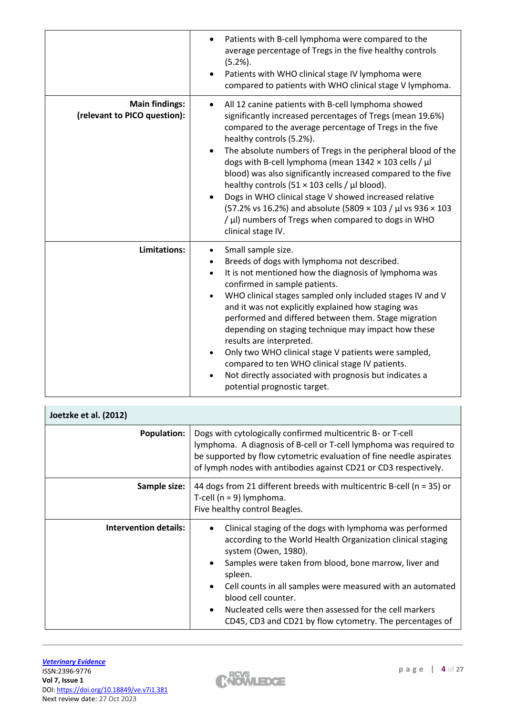|                                                       | Patients with B-cell lymphoma were compared to the<br>average percentage of Tregs in the five healthy controls<br>$(5.2\%)$ .<br>Patients with WHO clinical stage IV lymphoma were<br>compared to patients with WHO clinical stage V lymphoma.                                                                                                                                                                                                                                                                                                                                                                                                                                         |
|-------------------------------------------------------|----------------------------------------------------------------------------------------------------------------------------------------------------------------------------------------------------------------------------------------------------------------------------------------------------------------------------------------------------------------------------------------------------------------------------------------------------------------------------------------------------------------------------------------------------------------------------------------------------------------------------------------------------------------------------------------|
| <b>Main findings:</b><br>(relevant to PICO question): | All 12 canine patients with B-cell lymphoma showed<br>$\bullet$<br>significantly increased percentages of Tregs (mean 19.6%)<br>compared to the average percentage of Tregs in the five<br>healthy controls (5.2%).<br>The absolute numbers of Tregs in the peripheral blood of the<br>dogs with B-cell lymphoma (mean $1342 \times 103$ cells / $\mu$ l<br>blood) was also significantly increased compared to the five<br>healthy controls (51 $\times$ 103 cells / µl blood).<br>Dogs in WHO clinical stage V showed increased relative<br>(57.2% vs 16.2%) and absolute (5809 × 103 / µl vs 936 × 103<br>/ µl) numbers of Tregs when compared to dogs in WHO<br>clinical stage IV. |
| Limitations:                                          | Small sample size.<br>$\bullet$<br>Breeds of dogs with lymphoma not described.<br>$\bullet$<br>It is not mentioned how the diagnosis of lymphoma was<br>$\bullet$<br>confirmed in sample patients.<br>WHO clinical stages sampled only included stages IV and V<br>and it was not explicitly explained how staging was<br>performed and differed between them. Stage migration<br>depending on staging technique may impact how these<br>results are interpreted.<br>Only two WHO clinical stage V patients were sampled,<br>$\bullet$<br>compared to ten WHO clinical stage IV patients.<br>Not directly associated with prognosis but indicates a<br>potential prognostic target.    |

| Joetzke et al. (2012)        |                                                                                                                                                                                                                                                                                                                                                                                                                                      |
|------------------------------|--------------------------------------------------------------------------------------------------------------------------------------------------------------------------------------------------------------------------------------------------------------------------------------------------------------------------------------------------------------------------------------------------------------------------------------|
| <b>Population:</b>           | Dogs with cytologically confirmed multicentric B- or T-cell<br>lymphoma. A diagnosis of B-cell or T-cell lymphoma was required to<br>be supported by flow cytometric evaluation of fine needle aspirates<br>of lymph nodes with antibodies against CD21 or CD3 respectively.                                                                                                                                                         |
| Sample size:                 | 44 dogs from 21 different breeds with multicentric B-cell ( $n = 35$ ) or<br>T-cell ( $n = 9$ ) lymphoma.<br>Five healthy control Beagles.                                                                                                                                                                                                                                                                                           |
| <b>Intervention details:</b> | Clinical staging of the dogs with lymphoma was performed<br>٠<br>according to the World Health Organization clinical staging<br>system (Owen, 1980).<br>Samples were taken from blood, bone marrow, liver and<br>spleen.<br>Cell counts in all samples were measured with an automated<br>blood cell counter.<br>Nucleated cells were then assessed for the cell markers<br>CD45, CD3 and CD21 by flow cytometry. The percentages of |

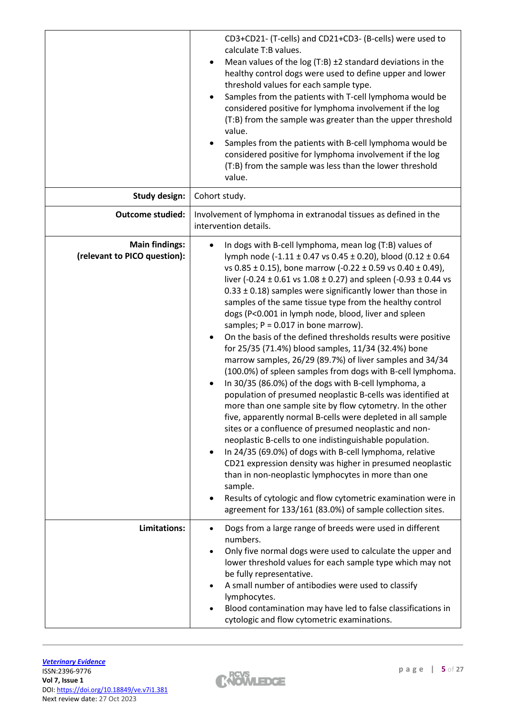|                                                       | CD3+CD21- (T-cells) and CD21+CD3- (B-cells) were used to<br>calculate T:B values.<br>Mean values of the $log(T:B) \pm 2$ standard deviations in the<br>$\bullet$<br>healthy control dogs were used to define upper and lower<br>threshold values for each sample type.<br>Samples from the patients with T-cell lymphoma would be<br>$\bullet$<br>considered positive for lymphoma involvement if the log<br>(T:B) from the sample was greater than the upper threshold<br>value.<br>Samples from the patients with B-cell lymphoma would be<br>considered positive for lymphoma involvement if the log<br>(T:B) from the sample was less than the lower threshold<br>value.                                                                                                                                                                                                                                                                                                                                                                                                                                                                                                                                                                                                                                                                                                                                                                                                      |
|-------------------------------------------------------|-----------------------------------------------------------------------------------------------------------------------------------------------------------------------------------------------------------------------------------------------------------------------------------------------------------------------------------------------------------------------------------------------------------------------------------------------------------------------------------------------------------------------------------------------------------------------------------------------------------------------------------------------------------------------------------------------------------------------------------------------------------------------------------------------------------------------------------------------------------------------------------------------------------------------------------------------------------------------------------------------------------------------------------------------------------------------------------------------------------------------------------------------------------------------------------------------------------------------------------------------------------------------------------------------------------------------------------------------------------------------------------------------------------------------------------------------------------------------------------|
| <b>Study design:</b>                                  | Cohort study.                                                                                                                                                                                                                                                                                                                                                                                                                                                                                                                                                                                                                                                                                                                                                                                                                                                                                                                                                                                                                                                                                                                                                                                                                                                                                                                                                                                                                                                                     |
| <b>Outcome studied:</b>                               | Involvement of lymphoma in extranodal tissues as defined in the<br>intervention details.                                                                                                                                                                                                                                                                                                                                                                                                                                                                                                                                                                                                                                                                                                                                                                                                                                                                                                                                                                                                                                                                                                                                                                                                                                                                                                                                                                                          |
| <b>Main findings:</b><br>(relevant to PICO question): | In dogs with B-cell lymphoma, mean log (T:B) values of<br>lymph node (-1.11 ± 0.47 vs 0.45 ± 0.20), blood (0.12 ± 0.64<br>vs 0.85 ± 0.15), bone marrow $(-0.22 \pm 0.59 \text{ vs } 0.40 \pm 0.49)$ ,<br>liver (-0.24 $\pm$ 0.61 vs 1.08 $\pm$ 0.27) and spleen (-0.93 $\pm$ 0.44 vs<br>$0.33 \pm 0.18$ ) samples were significantly lower than those in<br>samples of the same tissue type from the healthy control<br>dogs (P<0.001 in lymph node, blood, liver and spleen<br>samples; $P = 0.017$ in bone marrow).<br>On the basis of the defined thresholds results were positive<br>for 25/35 (71.4%) blood samples, 11/34 (32.4%) bone<br>marrow samples, 26/29 (89.7%) of liver samples and 34/34<br>(100.0%) of spleen samples from dogs with B-cell lymphoma.<br>In 30/35 (86.0%) of the dogs with B-cell lymphoma, a<br>$\bullet$<br>population of presumed neoplastic B-cells was identified at<br>more than one sample site by flow cytometry. In the other<br>five, apparently normal B-cells were depleted in all sample<br>sites or a confluence of presumed neoplastic and non-<br>neoplastic B-cells to one indistinguishable population.<br>In 24/35 (69.0%) of dogs with B-cell lymphoma, relative<br>CD21 expression density was higher in presumed neoplastic<br>than in non-neoplastic lymphocytes in more than one<br>sample.<br>Results of cytologic and flow cytometric examination were in<br>agreement for 133/161 (83.0%) of sample collection sites. |
| Limitations:                                          | Dogs from a large range of breeds were used in different<br>numbers.<br>Only five normal dogs were used to calculate the upper and<br>lower threshold values for each sample type which may not<br>be fully representative.<br>A small number of antibodies were used to classify<br>lymphocytes.<br>Blood contamination may have led to false classifications in<br>cytologic and flow cytometric examinations.                                                                                                                                                                                                                                                                                                                                                                                                                                                                                                                                                                                                                                                                                                                                                                                                                                                                                                                                                                                                                                                                  |

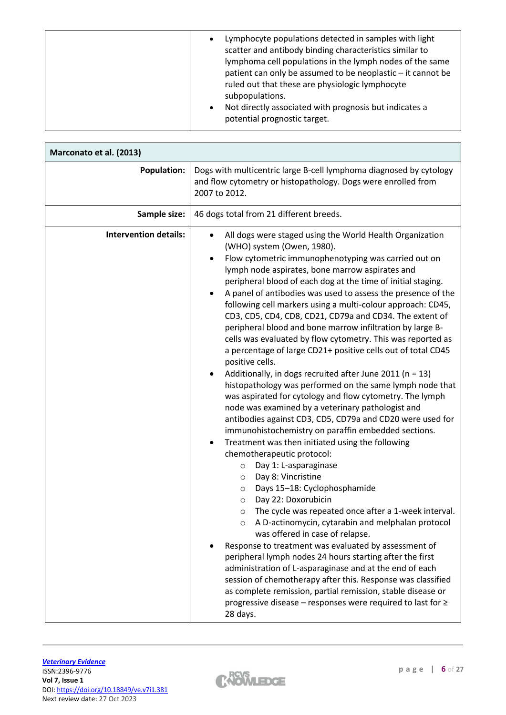| Lymphocyte populations detected in samples with light<br>$\bullet$<br>scatter and antibody binding characteristics similar to<br>lymphoma cell populations in the lymph nodes of the same<br>patient can only be assumed to be neoplastic - it cannot be<br>ruled out that these are physiologic lymphocyte<br>subpopulations.<br>Not directly associated with prognosis but indicates a<br>$\bullet$<br>potential prognostic target. |  |
|---------------------------------------------------------------------------------------------------------------------------------------------------------------------------------------------------------------------------------------------------------------------------------------------------------------------------------------------------------------------------------------------------------------------------------------|--|
|---------------------------------------------------------------------------------------------------------------------------------------------------------------------------------------------------------------------------------------------------------------------------------------------------------------------------------------------------------------------------------------------------------------------------------------|--|

| Marconato et al. (2013)      |                                                                                                                                                                                                                                                                                                                                                                                                                                                                                                                                                                                                                                                                                                                                                                                                                                                                                                                                                                                                                                                                                                                                                                                                                                                                                                                                                                                                                                                                                                                                                                                                                                                                                                                                                                                                                                                             |
|------------------------------|-------------------------------------------------------------------------------------------------------------------------------------------------------------------------------------------------------------------------------------------------------------------------------------------------------------------------------------------------------------------------------------------------------------------------------------------------------------------------------------------------------------------------------------------------------------------------------------------------------------------------------------------------------------------------------------------------------------------------------------------------------------------------------------------------------------------------------------------------------------------------------------------------------------------------------------------------------------------------------------------------------------------------------------------------------------------------------------------------------------------------------------------------------------------------------------------------------------------------------------------------------------------------------------------------------------------------------------------------------------------------------------------------------------------------------------------------------------------------------------------------------------------------------------------------------------------------------------------------------------------------------------------------------------------------------------------------------------------------------------------------------------------------------------------------------------------------------------------------------------|
| <b>Population:</b>           | Dogs with multicentric large B-cell lymphoma diagnosed by cytology<br>and flow cytometry or histopathology. Dogs were enrolled from<br>2007 to 2012.                                                                                                                                                                                                                                                                                                                                                                                                                                                                                                                                                                                                                                                                                                                                                                                                                                                                                                                                                                                                                                                                                                                                                                                                                                                                                                                                                                                                                                                                                                                                                                                                                                                                                                        |
| Sample size:                 | 46 dogs total from 21 different breeds.                                                                                                                                                                                                                                                                                                                                                                                                                                                                                                                                                                                                                                                                                                                                                                                                                                                                                                                                                                                                                                                                                                                                                                                                                                                                                                                                                                                                                                                                                                                                                                                                                                                                                                                                                                                                                     |
| <b>Intervention details:</b> | All dogs were staged using the World Health Organization<br>$\bullet$<br>(WHO) system (Owen, 1980).<br>Flow cytometric immunophenotyping was carried out on<br>lymph node aspirates, bone marrow aspirates and<br>peripheral blood of each dog at the time of initial staging.<br>A panel of antibodies was used to assess the presence of the<br>following cell markers using a multi-colour approach: CD45,<br>CD3, CD5, CD4, CD8, CD21, CD79a and CD34. The extent of<br>peripheral blood and bone marrow infiltration by large B-<br>cells was evaluated by flow cytometry. This was reported as<br>a percentage of large CD21+ positive cells out of total CD45<br>positive cells.<br>Additionally, in dogs recruited after June 2011 ( $n = 13$ )<br>٠<br>histopathology was performed on the same lymph node that<br>was aspirated for cytology and flow cytometry. The lymph<br>node was examined by a veterinary pathologist and<br>antibodies against CD3, CD5, CD79a and CD20 were used for<br>immunohistochemistry on paraffin embedded sections.<br>Treatment was then initiated using the following<br>$\bullet$<br>chemotherapeutic protocol:<br>Day 1: L-asparaginase<br>$\circ$<br>Day 8: Vincristine<br>$\circ$<br>Days 15-18: Cyclophosphamide<br>O<br>Day 22: Doxorubicin<br>$\circ$<br>The cycle was repeated once after a 1-week interval.<br>$\circ$<br>A D-actinomycin, cytarabin and melphalan protocol<br>was offered in case of relapse.<br>Response to treatment was evaluated by assessment of<br>peripheral lymph nodes 24 hours starting after the first<br>administration of L-asparaginase and at the end of each<br>session of chemotherapy after this. Response was classified<br>as complete remission, partial remission, stable disease or<br>progressive disease – responses were required to last for ≥<br>28 days. |

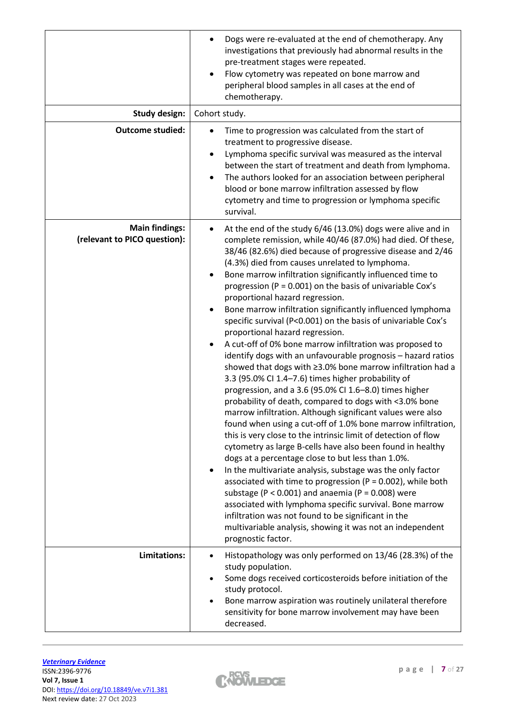|                                                       | Dogs were re-evaluated at the end of chemotherapy. Any<br>investigations that previously had abnormal results in the<br>pre-treatment stages were repeated.<br>Flow cytometry was repeated on bone marrow and<br>٠<br>peripheral blood samples in all cases at the end of<br>chemotherapy.                                                                                                                                                                                                                                                                                                                                                                                                                                                                                                                                                                                                                                                                                                                                                                                                                                                                                                                                                                                                                                                                                                                                                                                                                                                                                                                                                                                                |
|-------------------------------------------------------|-------------------------------------------------------------------------------------------------------------------------------------------------------------------------------------------------------------------------------------------------------------------------------------------------------------------------------------------------------------------------------------------------------------------------------------------------------------------------------------------------------------------------------------------------------------------------------------------------------------------------------------------------------------------------------------------------------------------------------------------------------------------------------------------------------------------------------------------------------------------------------------------------------------------------------------------------------------------------------------------------------------------------------------------------------------------------------------------------------------------------------------------------------------------------------------------------------------------------------------------------------------------------------------------------------------------------------------------------------------------------------------------------------------------------------------------------------------------------------------------------------------------------------------------------------------------------------------------------------------------------------------------------------------------------------------------|
| <b>Study design:</b>                                  | Cohort study.                                                                                                                                                                                                                                                                                                                                                                                                                                                                                                                                                                                                                                                                                                                                                                                                                                                                                                                                                                                                                                                                                                                                                                                                                                                                                                                                                                                                                                                                                                                                                                                                                                                                             |
| <b>Outcome studied:</b>                               | Time to progression was calculated from the start of<br>treatment to progressive disease.<br>Lymphoma specific survival was measured as the interval<br>between the start of treatment and death from lymphoma.<br>The authors looked for an association between peripheral<br>$\bullet$<br>blood or bone marrow infiltration assessed by flow<br>cytometry and time to progression or lymphoma specific<br>survival.                                                                                                                                                                                                                                                                                                                                                                                                                                                                                                                                                                                                                                                                                                                                                                                                                                                                                                                                                                                                                                                                                                                                                                                                                                                                     |
| <b>Main findings:</b><br>(relevant to PICO question): | At the end of the study 6/46 (13.0%) dogs were alive and in<br>complete remission, while 40/46 (87.0%) had died. Of these,<br>38/46 (82.6%) died because of progressive disease and 2/46<br>(4.3%) died from causes unrelated to lymphoma.<br>Bone marrow infiltration significantly influenced time to<br>progression ( $P = 0.001$ ) on the basis of univariable Cox's<br>proportional hazard regression.<br>Bone marrow infiltration significantly influenced lymphoma<br>specific survival (P<0.001) on the basis of univariable Cox's<br>proportional hazard regression.<br>A cut-off of 0% bone marrow infiltration was proposed to<br>$\bullet$<br>identify dogs with an unfavourable prognosis - hazard ratios<br>showed that dogs with ≥3.0% bone marrow infiltration had a<br>3.3 (95.0% CI 1.4-7.6) times higher probability of<br>progression, and a 3.6 (95.0% CI 1.6-8.0) times higher<br>probability of death, compared to dogs with <3.0% bone<br>marrow infiltration. Although significant values were also<br>found when using a cut-off of 1.0% bone marrow infiltration,<br>this is very close to the intrinsic limit of detection of flow<br>cytometry as large B-cells have also been found in healthy<br>dogs at a percentage close to but less than 1.0%.<br>In the multivariate analysis, substage was the only factor<br>٠<br>associated with time to progression ( $P = 0.002$ ), while both<br>substage ( $P < 0.001$ ) and anaemia ( $P = 0.008$ ) were<br>associated with lymphoma specific survival. Bone marrow<br>infiltration was not found to be significant in the<br>multivariable analysis, showing it was not an independent<br>prognostic factor. |
| <b>Limitations:</b>                                   | Histopathology was only performed on 13/46 (28.3%) of the<br>$\bullet$<br>study population.<br>Some dogs received corticosteroids before initiation of the<br>٠<br>study protocol.<br>Bone marrow aspiration was routinely unilateral therefore<br>sensitivity for bone marrow involvement may have been<br>decreased.                                                                                                                                                                                                                                                                                                                                                                                                                                                                                                                                                                                                                                                                                                                                                                                                                                                                                                                                                                                                                                                                                                                                                                                                                                                                                                                                                                    |

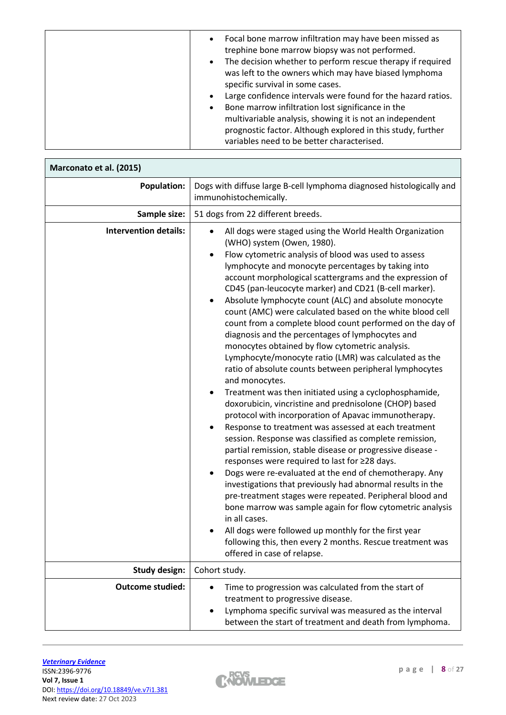| variables need to be better characterised. |
|--------------------------------------------|
|--------------------------------------------|

| Marconato et al. (2015)      |                                                                                                                                                                                                                                                                                                                                                                                                                                                                                                                                                                                                                                                                                                                                                                                                                                                                                                                                                                                                                                                                                                                                                                                                                                                                                                                                                                                                                                                                                                                                                                                                                                   |
|------------------------------|-----------------------------------------------------------------------------------------------------------------------------------------------------------------------------------------------------------------------------------------------------------------------------------------------------------------------------------------------------------------------------------------------------------------------------------------------------------------------------------------------------------------------------------------------------------------------------------------------------------------------------------------------------------------------------------------------------------------------------------------------------------------------------------------------------------------------------------------------------------------------------------------------------------------------------------------------------------------------------------------------------------------------------------------------------------------------------------------------------------------------------------------------------------------------------------------------------------------------------------------------------------------------------------------------------------------------------------------------------------------------------------------------------------------------------------------------------------------------------------------------------------------------------------------------------------------------------------------------------------------------------------|
| <b>Population:</b>           | Dogs with diffuse large B-cell lymphoma diagnosed histologically and<br>immunohistochemically.                                                                                                                                                                                                                                                                                                                                                                                                                                                                                                                                                                                                                                                                                                                                                                                                                                                                                                                                                                                                                                                                                                                                                                                                                                                                                                                                                                                                                                                                                                                                    |
| Sample size:                 | 51 dogs from 22 different breeds.                                                                                                                                                                                                                                                                                                                                                                                                                                                                                                                                                                                                                                                                                                                                                                                                                                                                                                                                                                                                                                                                                                                                                                                                                                                                                                                                                                                                                                                                                                                                                                                                 |
| <b>Intervention details:</b> | All dogs were staged using the World Health Organization<br>(WHO) system (Owen, 1980).<br>Flow cytometric analysis of blood was used to assess<br>lymphocyte and monocyte percentages by taking into<br>account morphological scattergrams and the expression of<br>CD45 (pan-leucocyte marker) and CD21 (B-cell marker).<br>Absolute lymphocyte count (ALC) and absolute monocyte<br>٠<br>count (AMC) were calculated based on the white blood cell<br>count from a complete blood count performed on the day of<br>diagnosis and the percentages of lymphocytes and<br>monocytes obtained by flow cytometric analysis.<br>Lymphocyte/monocyte ratio (LMR) was calculated as the<br>ratio of absolute counts between peripheral lymphocytes<br>and monocytes.<br>Treatment was then initiated using a cyclophosphamide,<br>٠<br>doxorubicin, vincristine and prednisolone (CHOP) based<br>protocol with incorporation of Apavac immunotherapy.<br>Response to treatment was assessed at each treatment<br>$\bullet$<br>session. Response was classified as complete remission,<br>partial remission, stable disease or progressive disease -<br>responses were required to last for ≥28 days.<br>Dogs were re-evaluated at the end of chemotherapy. Any<br>$\bullet$<br>investigations that previously had abnormal results in the<br>pre-treatment stages were repeated. Peripheral blood and<br>bone marrow was sample again for flow cytometric analysis<br>in all cases.<br>All dogs were followed up monthly for the first year<br>following this, then every 2 months. Rescue treatment was<br>offered in case of relapse. |
| <b>Study design:</b>         | Cohort study.                                                                                                                                                                                                                                                                                                                                                                                                                                                                                                                                                                                                                                                                                                                                                                                                                                                                                                                                                                                                                                                                                                                                                                                                                                                                                                                                                                                                                                                                                                                                                                                                                     |
| <b>Outcome studied:</b>      | Time to progression was calculated from the start of<br>treatment to progressive disease.<br>Lymphoma specific survival was measured as the interval<br>$\bullet$<br>between the start of treatment and death from lymphoma.                                                                                                                                                                                                                                                                                                                                                                                                                                                                                                                                                                                                                                                                                                                                                                                                                                                                                                                                                                                                                                                                                                                                                                                                                                                                                                                                                                                                      |

 $\Gamma$ 

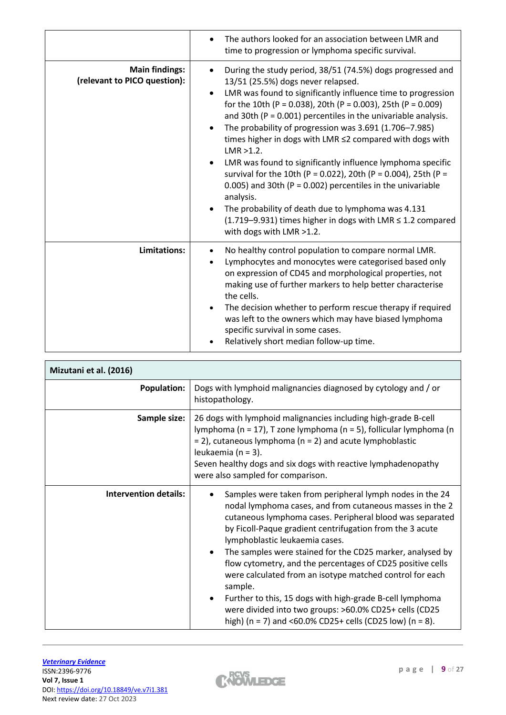|                                                       | The authors looked for an association between LMR and<br>time to progression or lymphoma specific survival.                                                                                                                                                                                                                                                                                                                                                                                                                                                                                                                                                                                                                                                                                                                                               |
|-------------------------------------------------------|-----------------------------------------------------------------------------------------------------------------------------------------------------------------------------------------------------------------------------------------------------------------------------------------------------------------------------------------------------------------------------------------------------------------------------------------------------------------------------------------------------------------------------------------------------------------------------------------------------------------------------------------------------------------------------------------------------------------------------------------------------------------------------------------------------------------------------------------------------------|
| <b>Main findings:</b><br>(relevant to PICO question): | During the study period, 38/51 (74.5%) dogs progressed and<br>$\bullet$<br>13/51 (25.5%) dogs never relapsed.<br>LMR was found to significantly influence time to progression<br>$\bullet$<br>for the 10th (P = 0.038), 20th (P = 0.003), 25th (P = 0.009)<br>and 30th ( $P = 0.001$ ) percentiles in the univariable analysis.<br>The probability of progression was 3.691 (1.706-7.985)<br>$\bullet$<br>times higher in dogs with LMR ≤2 compared with dogs with<br>$LMR > 1.2$ .<br>LMR was found to significantly influence lymphoma specific<br>survival for the 10th (P = 0.022), 20th (P = 0.004), 25th (P =<br>0.005) and 30th ( $P = 0.002$ ) percentiles in the univariable<br>analysis.<br>The probability of death due to lymphoma was 4.131<br>$(1.719-9.931)$ times higher in dogs with LMR $\leq 1.2$ compared<br>with dogs with LMR >1.2. |
| Limitations:                                          | No healthy control population to compare normal LMR.<br>Lymphocytes and monocytes were categorised based only<br>$\bullet$<br>on expression of CD45 and morphological properties, not<br>making use of further markers to help better characterise<br>the cells.<br>The decision whether to perform rescue therapy if required<br>was left to the owners which may have biased lymphoma<br>specific survival in some cases.<br>Relatively short median follow-up time.                                                                                                                                                                                                                                                                                                                                                                                    |

| Mizutani et al. (2016)       |                                                                                                                                                                                                                                                                                                                                                                                                                                                                                                                                                                                                                                                                                      |
|------------------------------|--------------------------------------------------------------------------------------------------------------------------------------------------------------------------------------------------------------------------------------------------------------------------------------------------------------------------------------------------------------------------------------------------------------------------------------------------------------------------------------------------------------------------------------------------------------------------------------------------------------------------------------------------------------------------------------|
| <b>Population:</b>           | Dogs with lymphoid malignancies diagnosed by cytology and / or<br>histopathology.                                                                                                                                                                                                                                                                                                                                                                                                                                                                                                                                                                                                    |
| Sample size:                 | 26 dogs with lymphoid malignancies including high-grade B-cell<br>lymphoma (n = 17), T zone lymphoma (n = 5), follicular lymphoma (n<br>$=$ 2), cutaneous lymphoma (n = 2) and acute lymphoblastic<br>leukaemia (n = 3).<br>Seven healthy dogs and six dogs with reactive lymphadenopathy<br>were also sampled for comparison.                                                                                                                                                                                                                                                                                                                                                       |
| <b>Intervention details:</b> | Samples were taken from peripheral lymph nodes in the 24<br>nodal lymphoma cases, and from cutaneous masses in the 2<br>cutaneous lymphoma cases. Peripheral blood was separated<br>by Ficoll-Paque gradient centrifugation from the 3 acute<br>lymphoblastic leukaemia cases.<br>The samples were stained for the CD25 marker, analysed by<br>$\bullet$<br>flow cytometry, and the percentages of CD25 positive cells<br>were calculated from an isotype matched control for each<br>sample.<br>Further to this, 15 dogs with high-grade B-cell lymphoma<br>٠<br>were divided into two groups: >60.0% CD25+ cells (CD25<br>high) (n = 7) and <60.0% CD25+ cells (CD25 low) (n = 8). |

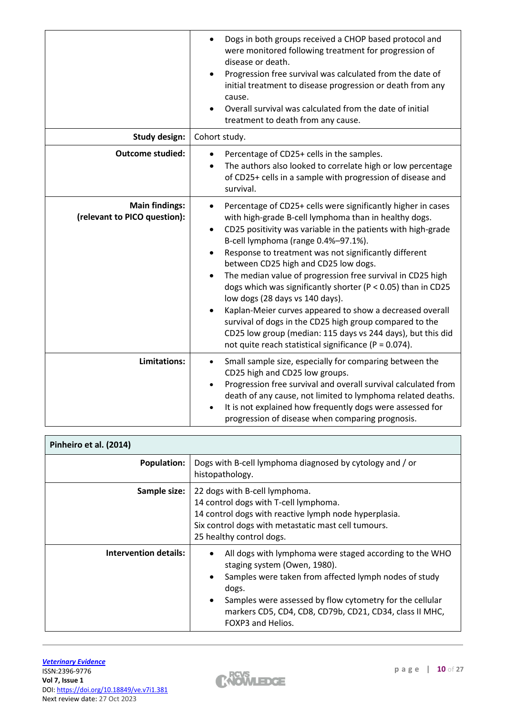|                                                       | Dogs in both groups received a CHOP based protocol and<br>$\bullet$<br>were monitored following treatment for progression of<br>disease or death.<br>Progression free survival was calculated from the date of<br>initial treatment to disease progression or death from any<br>cause.<br>Overall survival was calculated from the date of initial<br>treatment to death from any cause.                                                                                                                                                                                                                                                                                                                                                                                                 |
|-------------------------------------------------------|------------------------------------------------------------------------------------------------------------------------------------------------------------------------------------------------------------------------------------------------------------------------------------------------------------------------------------------------------------------------------------------------------------------------------------------------------------------------------------------------------------------------------------------------------------------------------------------------------------------------------------------------------------------------------------------------------------------------------------------------------------------------------------------|
| <b>Study design:</b>                                  | Cohort study.                                                                                                                                                                                                                                                                                                                                                                                                                                                                                                                                                                                                                                                                                                                                                                            |
| <b>Outcome studied:</b>                               | Percentage of CD25+ cells in the samples.<br>The authors also looked to correlate high or low percentage<br>of CD25+ cells in a sample with progression of disease and<br>survival.                                                                                                                                                                                                                                                                                                                                                                                                                                                                                                                                                                                                      |
| <b>Main findings:</b><br>(relevant to PICO question): | Percentage of CD25+ cells were significantly higher in cases<br>$\bullet$<br>with high-grade B-cell lymphoma than in healthy dogs.<br>CD25 positivity was variable in the patients with high-grade<br>$\bullet$<br>B-cell lymphoma (range 0.4%-97.1%).<br>Response to treatment was not significantly different<br>between CD25 high and CD25 low dogs.<br>The median value of progression free survival in CD25 high<br>$\bullet$<br>dogs which was significantly shorter ( $P < 0.05$ ) than in CD25<br>low dogs (28 days vs 140 days).<br>Kaplan-Meier curves appeared to show a decreased overall<br>survival of dogs in the CD25 high group compared to the<br>CD25 low group (median: 115 days vs 244 days), but this did<br>not quite reach statistical significance (P = 0.074). |
| Limitations:                                          | Small sample size, especially for comparing between the<br>$\bullet$<br>CD25 high and CD25 low groups.<br>Progression free survival and overall survival calculated from<br>$\bullet$<br>death of any cause, not limited to lymphoma related deaths.<br>It is not explained how frequently dogs were assessed for<br>progression of disease when comparing prognosis.                                                                                                                                                                                                                                                                                                                                                                                                                    |

| Pinheiro et al. (2014)       |                                                                                                                                                                                                                                                                                                                           |
|------------------------------|---------------------------------------------------------------------------------------------------------------------------------------------------------------------------------------------------------------------------------------------------------------------------------------------------------------------------|
| <b>Population:</b>           | Dogs with B-cell lymphoma diagnosed by cytology and / or<br>histopathology.                                                                                                                                                                                                                                               |
| Sample size:                 | 22 dogs with B-cell lymphoma.<br>14 control dogs with T-cell lymphoma.<br>14 control dogs with reactive lymph node hyperplasia.<br>Six control dogs with metastatic mast cell tumours.<br>25 healthy control dogs.                                                                                                        |
| <b>Intervention details:</b> | All dogs with lymphoma were staged according to the WHO<br>staging system (Owen, 1980).<br>Samples were taken from affected lymph nodes of study<br>dogs.<br>Samples were assessed by flow cytometry for the cellular<br>$\bullet$<br>markers CD5, CD4, CD8, CD79b, CD21, CD34, class II MHC,<br><b>FOXP3 and Helios.</b> |

 $\overline{1}$ 

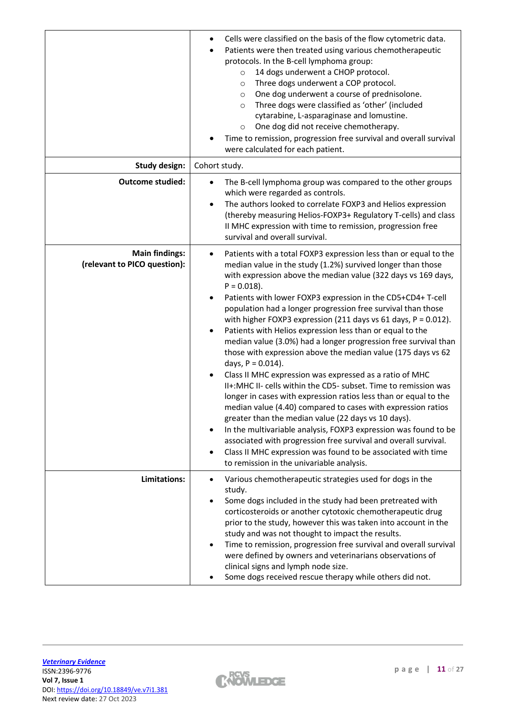|                                                       | Cells were classified on the basis of the flow cytometric data.<br>٠<br>Patients were then treated using various chemotherapeutic<br>$\bullet$<br>protocols. In the B-cell lymphoma group:<br>14 dogs underwent a CHOP protocol.<br>$\circ$<br>Three dogs underwent a COP protocol.<br>$\circ$<br>One dog underwent a course of prednisolone.<br>$\circ$<br>Three dogs were classified as 'other' (included<br>$\circ$<br>cytarabine, L-asparaginase and lomustine.<br>One dog did not receive chemotherapy.<br>$\circ$<br>Time to remission, progression free survival and overall survival<br>were calculated for each patient.                                                                                                                                                                                                                                                                                                                                                                                                                                                                                                                                                                                                                            |
|-------------------------------------------------------|--------------------------------------------------------------------------------------------------------------------------------------------------------------------------------------------------------------------------------------------------------------------------------------------------------------------------------------------------------------------------------------------------------------------------------------------------------------------------------------------------------------------------------------------------------------------------------------------------------------------------------------------------------------------------------------------------------------------------------------------------------------------------------------------------------------------------------------------------------------------------------------------------------------------------------------------------------------------------------------------------------------------------------------------------------------------------------------------------------------------------------------------------------------------------------------------------------------------------------------------------------------|
| <b>Study design:</b>                                  | Cohort study.                                                                                                                                                                                                                                                                                                                                                                                                                                                                                                                                                                                                                                                                                                                                                                                                                                                                                                                                                                                                                                                                                                                                                                                                                                                |
| <b>Outcome studied:</b>                               | The B-cell lymphoma group was compared to the other groups<br>$\bullet$<br>which were regarded as controls.<br>The authors looked to correlate FOXP3 and Helios expression<br>$\bullet$<br>(thereby measuring Helios-FOXP3+ Regulatory T-cells) and class<br>II MHC expression with time to remission, progression free<br>survival and overall survival.                                                                                                                                                                                                                                                                                                                                                                                                                                                                                                                                                                                                                                                                                                                                                                                                                                                                                                    |
| <b>Main findings:</b><br>(relevant to PICO question): | Patients with a total FOXP3 expression less than or equal to the<br>٠<br>median value in the study (1.2%) survived longer than those<br>with expression above the median value (322 days vs 169 days,<br>$P = 0.018$ ).<br>Patients with lower FOXP3 expression in the CD5+CD4+ T-cell<br>٠<br>population had a longer progression free survival than those<br>with higher FOXP3 expression (211 days vs 61 days, $P = 0.012$ ).<br>Patients with Helios expression less than or equal to the<br>٠<br>median value (3.0%) had a longer progression free survival than<br>those with expression above the median value (175 days vs 62<br>days, $P = 0.014$ ).<br>Class II MHC expression was expressed as a ratio of MHC<br>٠<br>II+: MHC II- cells within the CD5- subset. Time to remission was<br>longer in cases with expression ratios less than or equal to the<br>median value (4.40) compared to cases with expression ratios<br>greater than the median value (22 days vs 10 days).<br>In the multivariable analysis, FOXP3 expression was found to be<br>$\bullet$<br>associated with progression free survival and overall survival.<br>Class II MHC expression was found to be associated with time<br>to remission in the univariable analysis. |
| Limitations:                                          | Various chemotherapeutic strategies used for dogs in the<br>٠<br>study.<br>Some dogs included in the study had been pretreated with<br>$\bullet$<br>corticosteroids or another cytotoxic chemotherapeutic drug<br>prior to the study, however this was taken into account in the<br>study and was not thought to impact the results.<br>Time to remission, progression free survival and overall survival<br>were defined by owners and veterinarians observations of<br>clinical signs and lymph node size.<br>Some dogs received rescue therapy while others did not.                                                                                                                                                                                                                                                                                                                                                                                                                                                                                                                                                                                                                                                                                      |

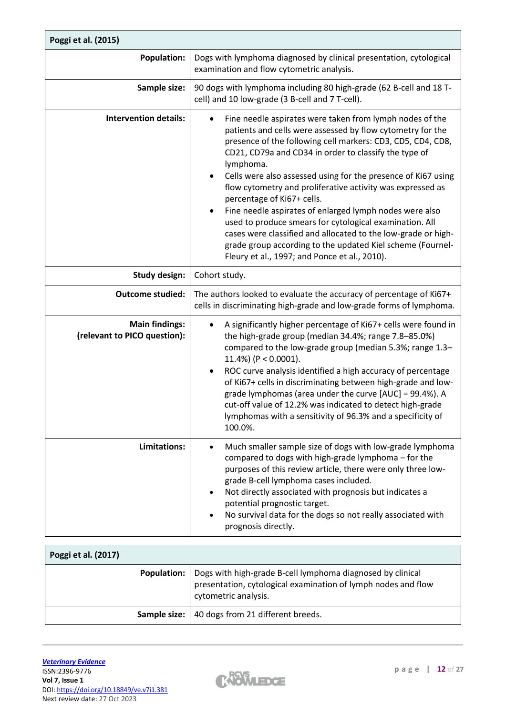| Poggi et al. (2015)                                   |                                                                                                                                                                                                                                                                                                                                                                                                                                                                                                                                                                                                                                                                                                                                                          |
|-------------------------------------------------------|----------------------------------------------------------------------------------------------------------------------------------------------------------------------------------------------------------------------------------------------------------------------------------------------------------------------------------------------------------------------------------------------------------------------------------------------------------------------------------------------------------------------------------------------------------------------------------------------------------------------------------------------------------------------------------------------------------------------------------------------------------|
| <b>Population:</b>                                    | Dogs with lymphoma diagnosed by clinical presentation, cytological<br>examination and flow cytometric analysis.                                                                                                                                                                                                                                                                                                                                                                                                                                                                                                                                                                                                                                          |
| Sample size:                                          | 90 dogs with lymphoma including 80 high-grade (62 B-cell and 18 T-<br>cell) and 10 low-grade (3 B-cell and 7 T-cell).                                                                                                                                                                                                                                                                                                                                                                                                                                                                                                                                                                                                                                    |
| <b>Intervention details:</b>                          | Fine needle aspirates were taken from lymph nodes of the<br>$\bullet$<br>patients and cells were assessed by flow cytometry for the<br>presence of the following cell markers: CD3, CD5, CD4, CD8,<br>CD21, CD79a and CD34 in order to classify the type of<br>lymphoma.<br>Cells were also assessed using for the presence of Ki67 using<br>$\bullet$<br>flow cytometry and proliferative activity was expressed as<br>percentage of Ki67+ cells.<br>Fine needle aspirates of enlarged lymph nodes were also<br>used to produce smears for cytological examination. All<br>cases were classified and allocated to the low-grade or high-<br>grade group according to the updated Kiel scheme (Fournel-<br>Fleury et al., 1997; and Ponce et al., 2010). |
| <b>Study design:</b>                                  | Cohort study.                                                                                                                                                                                                                                                                                                                                                                                                                                                                                                                                                                                                                                                                                                                                            |
| <b>Outcome studied:</b>                               | The authors looked to evaluate the accuracy of percentage of Ki67+<br>cells in discriminating high-grade and low-grade forms of lymphoma.                                                                                                                                                                                                                                                                                                                                                                                                                                                                                                                                                                                                                |
| <b>Main findings:</b><br>(relevant to PICO question): | A significantly higher percentage of Ki67+ cells were found in<br>$\bullet$<br>the high-grade group (median 34.4%; range 7.8-85.0%)<br>compared to the low-grade group (median 5.3%; range 1.3-<br>11.4%) ( $P < 0.0001$ ).<br>ROC curve analysis identified a high accuracy of percentage<br>$\bullet$<br>of Ki67+ cells in discriminating between high-grade and low-<br>grade lymphomas (area under the curve [AUC] = 99.4%). A<br>cut-off value of 12.2% was indicated to detect high-grade<br>lymphomas with a sensitivity of 96.3% and a specificity of<br>100.0%.                                                                                                                                                                                 |
| <b>Limitations:</b>                                   | Much smaller sample size of dogs with low-grade lymphoma<br>compared to dogs with high-grade lymphoma - for the<br>purposes of this review article, there were only three low-<br>grade B-cell lymphoma cases included.<br>Not directly associated with prognosis but indicates a<br>potential prognostic target.<br>No survival data for the dogs so not really associated with<br>prognosis directly.                                                                                                                                                                                                                                                                                                                                                  |

| Poggi et al. (2017) |                                                                                                                                                     |
|---------------------|-----------------------------------------------------------------------------------------------------------------------------------------------------|
| <b>Population:</b>  | Dogs with high-grade B-cell lymphoma diagnosed by clinical<br>presentation, cytological examination of lymph nodes and flow<br>cytometric analysis. |
|                     | <b>Sample size:</b>   40 dogs from 21 different breeds.                                                                                             |

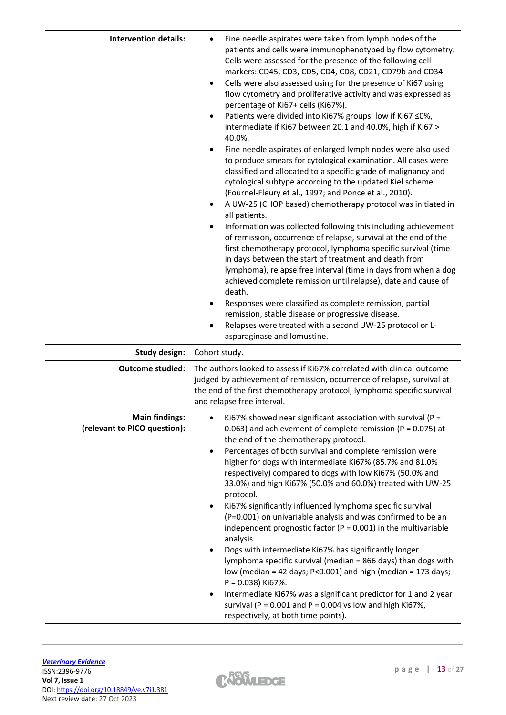| <b>Intervention details:</b>                          | Fine needle aspirates were taken from lymph nodes of the<br>patients and cells were immunophenotyped by flow cytometry.<br>Cells were assessed for the presence of the following cell<br>markers: CD45, CD3, CD5, CD4, CD8, CD21, CD79b and CD34.<br>Cells were also assessed using for the presence of Ki67 using<br>flow cytometry and proliferative activity and was expressed as<br>percentage of Ki67+ cells (Ki67%).<br>Patients were divided into Ki67% groups: low if Ki67 ≤0%,<br>intermediate if Ki67 between 20.1 and 40.0%, high if Ki67 ><br>40.0%.<br>Fine needle aspirates of enlarged lymph nodes were also used<br>to produce smears for cytological examination. All cases were<br>classified and allocated to a specific grade of malignancy and<br>cytological subtype according to the updated Kiel scheme<br>(Fournel-Fleury et al., 1997; and Ponce et al., 2010).<br>A UW-25 (CHOP based) chemotherapy protocol was initiated in<br>all patients.<br>Information was collected following this including achievement<br>of remission, occurrence of relapse, survival at the end of the<br>first chemotherapy protocol, lymphoma specific survival (time<br>in days between the start of treatment and death from<br>lymphoma), relapse free interval (time in days from when a dog<br>achieved complete remission until relapse), date and cause of<br>death.<br>Responses were classified as complete remission, partial<br>remission, stable disease or progressive disease.<br>Relapses were treated with a second UW-25 protocol or L-<br>asparaginase and lomustine. |
|-------------------------------------------------------|---------------------------------------------------------------------------------------------------------------------------------------------------------------------------------------------------------------------------------------------------------------------------------------------------------------------------------------------------------------------------------------------------------------------------------------------------------------------------------------------------------------------------------------------------------------------------------------------------------------------------------------------------------------------------------------------------------------------------------------------------------------------------------------------------------------------------------------------------------------------------------------------------------------------------------------------------------------------------------------------------------------------------------------------------------------------------------------------------------------------------------------------------------------------------------------------------------------------------------------------------------------------------------------------------------------------------------------------------------------------------------------------------------------------------------------------------------------------------------------------------------------------------------------------------------------------------------------------------|
| <b>Study design:</b>                                  | Cohort study.                                                                                                                                                                                                                                                                                                                                                                                                                                                                                                                                                                                                                                                                                                                                                                                                                                                                                                                                                                                                                                                                                                                                                                                                                                                                                                                                                                                                                                                                                                                                                                                     |
| <b>Outcome studied:</b>                               | The authors looked to assess if Ki67% correlated with clinical outcome<br>judged by achievement of remission, occurrence of relapse, survival at<br>the end of the first chemotherapy protocol, lymphoma specific survival<br>and relapse free interval.                                                                                                                                                                                                                                                                                                                                                                                                                                                                                                                                                                                                                                                                                                                                                                                                                                                                                                                                                                                                                                                                                                                                                                                                                                                                                                                                          |
| <b>Main findings:</b><br>(relevant to PICO question): | Ki67% showed near significant association with survival ( $P =$<br>0.063) and achievement of complete remission ( $P = 0.075$ ) at<br>the end of the chemotherapy protocol.<br>Percentages of both survival and complete remission were<br>$\bullet$<br>higher for dogs with intermediate Ki67% (85.7% and 81.0%<br>respectively) compared to dogs with low Ki67% (50.0% and<br>33.0%) and high Ki67% (50.0% and 60.0%) treated with UW-25<br>protocol.<br>Ki67% significantly influenced lymphoma specific survival<br>(P=0.001) on univariable analysis and was confirmed to be an<br>independent prognostic factor ( $P = 0.001$ ) in the multivariable<br>analysis.<br>Dogs with intermediate Ki67% has significantly longer<br>lymphoma specific survival (median = 866 days) than dogs with<br>low (median = 42 days; $P < 0.001$ ) and high (median = 173 days;<br>$P = 0.038$ ) Ki67%.<br>Intermediate Ki67% was a significant predictor for 1 and 2 year<br>survival (P = $0.001$ and P = $0.004$ vs low and high Ki67%,<br>respectively, at both time points).                                                                                                                                                                                                                                                                                                                                                                                                                                                                                                                          |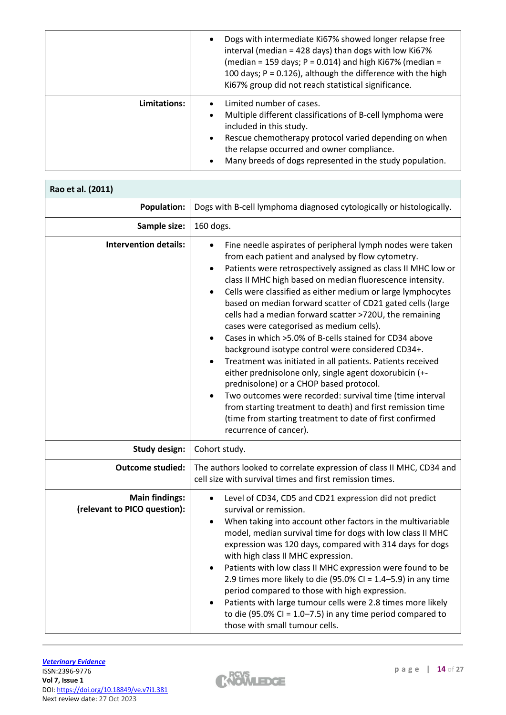|              | Dogs with intermediate Ki67% showed longer relapse free<br>interval (median = 428 days) than dogs with low Ki67%<br>(median = 159 days; $P = 0.014$ ) and high Ki67% (median =<br>100 days; $P = 0.126$ ), although the difference with the high<br>Ki67% group did not reach statistical significance.        |
|--------------|----------------------------------------------------------------------------------------------------------------------------------------------------------------------------------------------------------------------------------------------------------------------------------------------------------------|
| Limitations: | Limited number of cases.<br>Multiple different classifications of B-cell lymphoma were<br>$\bullet$<br>included in this study.<br>Rescue chemotherapy protocol varied depending on when<br>$\bullet$<br>the relapse occurred and owner compliance.<br>Many breeds of dogs represented in the study population. |

| Rao et al. (2011)                                     |                                                                                                                                                                                                                                                                                                                                                                                                                                                                                                                                                                                                                                                                                                                                                                                                                                                                                                                                                                                                                                 |
|-------------------------------------------------------|---------------------------------------------------------------------------------------------------------------------------------------------------------------------------------------------------------------------------------------------------------------------------------------------------------------------------------------------------------------------------------------------------------------------------------------------------------------------------------------------------------------------------------------------------------------------------------------------------------------------------------------------------------------------------------------------------------------------------------------------------------------------------------------------------------------------------------------------------------------------------------------------------------------------------------------------------------------------------------------------------------------------------------|
| <b>Population:</b>                                    | Dogs with B-cell lymphoma diagnosed cytologically or histologically.                                                                                                                                                                                                                                                                                                                                                                                                                                                                                                                                                                                                                                                                                                                                                                                                                                                                                                                                                            |
| Sample size:                                          | 160 dogs.                                                                                                                                                                                                                                                                                                                                                                                                                                                                                                                                                                                                                                                                                                                                                                                                                                                                                                                                                                                                                       |
| <b>Intervention details:</b>                          | Fine needle aspirates of peripheral lymph nodes were taken<br>from each patient and analysed by flow cytometry.<br>Patients were retrospectively assigned as class II MHC low or<br>$\bullet$<br>class II MHC high based on median fluorescence intensity.<br>Cells were classified as either medium or large lymphocytes<br>$\bullet$<br>based on median forward scatter of CD21 gated cells (large<br>cells had a median forward scatter >720U, the remaining<br>cases were categorised as medium cells).<br>Cases in which >5.0% of B-cells stained for CD34 above<br>$\bullet$<br>background isotype control were considered CD34+.<br>Treatment was initiated in all patients. Patients received<br>٠<br>either prednisolone only, single agent doxorubicin (+-<br>prednisolone) or a CHOP based protocol.<br>Two outcomes were recorded: survival time (time interval<br>from starting treatment to death) and first remission time<br>(time from starting treatment to date of first confirmed<br>recurrence of cancer). |
| <b>Study design:</b>                                  | Cohort study.                                                                                                                                                                                                                                                                                                                                                                                                                                                                                                                                                                                                                                                                                                                                                                                                                                                                                                                                                                                                                   |
| <b>Outcome studied:</b>                               | The authors looked to correlate expression of class II MHC, CD34 and<br>cell size with survival times and first remission times.                                                                                                                                                                                                                                                                                                                                                                                                                                                                                                                                                                                                                                                                                                                                                                                                                                                                                                |
| <b>Main findings:</b><br>(relevant to PICO question): | Level of CD34, CD5 and CD21 expression did not predict<br>٠<br>survival or remission.<br>When taking into account other factors in the multivariable<br>$\bullet$<br>model, median survival time for dogs with low class II MHC<br>expression was 120 days, compared with 314 days for dogs<br>with high class II MHC expression.<br>Patients with low class II MHC expression were found to be<br>2.9 times more likely to die (95.0% CI = $1.4 - 5.9$ ) in any time<br>period compared to those with high expression.<br>Patients with large tumour cells were 2.8 times more likely<br>to die (95.0% CI = $1.0 - 7.5$ ) in any time period compared to<br>those with small tumour cells.                                                                                                                                                                                                                                                                                                                                     |

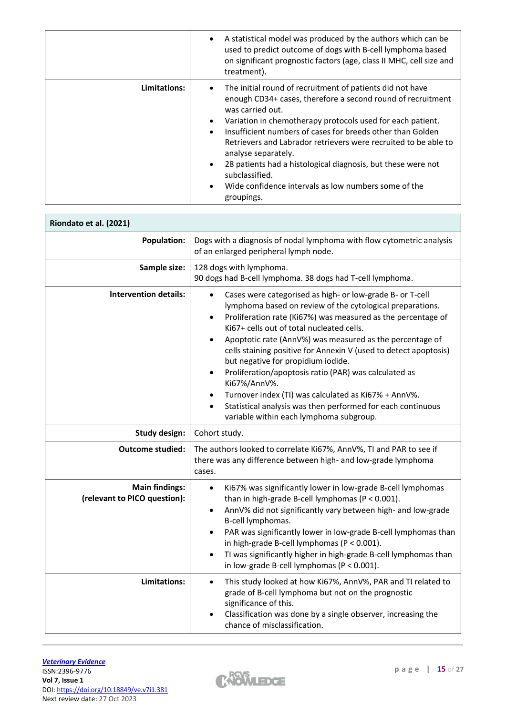|              | A statistical model was produced by the authors which can be<br>used to predict outcome of dogs with B-cell lymphoma based<br>on significant prognostic factors (age, class II MHC, cell size and<br>treatment).                                                                                                                                                                                                                                                                                                                                     |
|--------------|------------------------------------------------------------------------------------------------------------------------------------------------------------------------------------------------------------------------------------------------------------------------------------------------------------------------------------------------------------------------------------------------------------------------------------------------------------------------------------------------------------------------------------------------------|
| Limitations: | The initial round of recruitment of patients did not have<br>enough CD34+ cases, therefore a second round of recruitment<br>was carried out.<br>Variation in chemotherapy protocols used for each patient.<br>Insufficient numbers of cases for breeds other than Golden<br>$\bullet$<br>Retrievers and Labrador retrievers were recruited to be able to<br>analyse separately.<br>28 patients had a histological diagnosis, but these were not<br>subclassified.<br>Wide confidence intervals as low numbers some of the<br>$\bullet$<br>groupings. |

| Riondato et al. (2021)                                |                                                                                                                                                                                                                                                                                                                                                                                                                                                                                                                                                                                                                                                                                                       |
|-------------------------------------------------------|-------------------------------------------------------------------------------------------------------------------------------------------------------------------------------------------------------------------------------------------------------------------------------------------------------------------------------------------------------------------------------------------------------------------------------------------------------------------------------------------------------------------------------------------------------------------------------------------------------------------------------------------------------------------------------------------------------|
| <b>Population:</b>                                    | Dogs with a diagnosis of nodal lymphoma with flow cytometric analysis<br>of an enlarged peripheral lymph node.                                                                                                                                                                                                                                                                                                                                                                                                                                                                                                                                                                                        |
| Sample size:                                          | 128 dogs with lymphoma.<br>90 dogs had B-cell lymphoma. 38 dogs had T-cell lymphoma.                                                                                                                                                                                                                                                                                                                                                                                                                                                                                                                                                                                                                  |
| <b>Intervention details:</b>                          | Cases were categorised as high- or low-grade B- or T-cell<br>lymphoma based on review of the cytological preparations.<br>Proliferation rate (Ki67%) was measured as the percentage of<br>٠<br>Ki67+ cells out of total nucleated cells.<br>Apoptotic rate (AnnV%) was measured as the percentage of<br>$\bullet$<br>cells staining positive for Annexin V (used to detect apoptosis)<br>but negative for propidium iodide.<br>Proliferation/apoptosis ratio (PAR) was calculated as<br>٠<br>Ki67%/AnnV%.<br>Turnover index (TI) was calculated as Ki67% + AnnV%.<br>$\bullet$<br>Statistical analysis was then performed for each continuous<br>$\bullet$<br>variable within each lymphoma subgroup. |
| <b>Study design:</b>                                  | Cohort study.                                                                                                                                                                                                                                                                                                                                                                                                                                                                                                                                                                                                                                                                                         |
| <b>Outcome studied:</b>                               | The authors looked to correlate Ki67%, AnnV%, TI and PAR to see if<br>there was any difference between high- and low-grade lymphoma<br>cases.                                                                                                                                                                                                                                                                                                                                                                                                                                                                                                                                                         |
| <b>Main findings:</b><br>(relevant to PICO question): | Ki67% was significantly lower in low-grade B-cell lymphomas<br>$\bullet$<br>than in high-grade B-cell lymphomas ( $P < 0.001$ ).<br>AnnV% did not significantly vary between high- and low-grade<br>B-cell lymphomas.<br>PAR was significantly lower in low-grade B-cell lymphomas than<br>in high-grade B-cell lymphomas (P < 0.001).<br>TI was significantly higher in high-grade B-cell lymphomas than<br>in low-grade B-cell lymphomas ( $P < 0.001$ ).                                                                                                                                                                                                                                           |
| Limitations:                                          | This study looked at how Ki67%, AnnV%, PAR and TI related to<br>$\bullet$<br>grade of B-cell lymphoma but not on the prognostic<br>significance of this.<br>Classification was done by a single observer, increasing the<br>chance of misclassification.                                                                                                                                                                                                                                                                                                                                                                                                                                              |

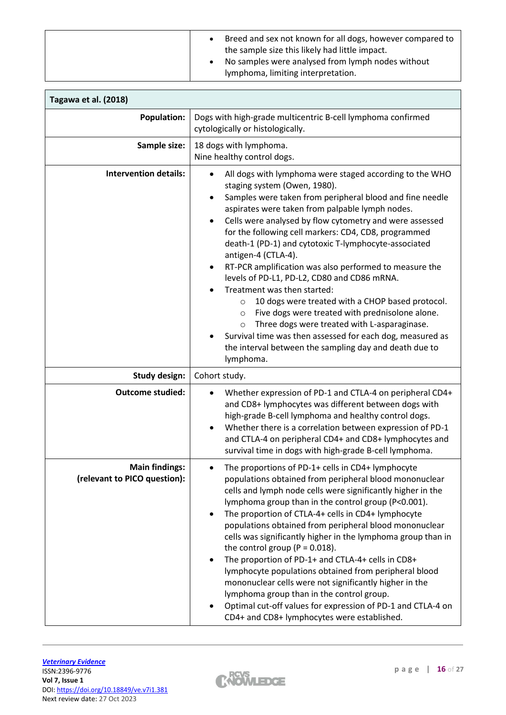| Breed and sex not known for all dogs, however compared to |
|-----------------------------------------------------------|
| the sample size this likely had little impact.            |
| No samples were analysed from lymph nodes without         |
| lymphoma, limiting interpretation.                        |

| Tagawa et al. (2018)                                  |                                                                                                                                                                                                                                                                                                                                                                                                                                                                                                                                                                                                                                                                                                                                                                                                                                                                                             |
|-------------------------------------------------------|---------------------------------------------------------------------------------------------------------------------------------------------------------------------------------------------------------------------------------------------------------------------------------------------------------------------------------------------------------------------------------------------------------------------------------------------------------------------------------------------------------------------------------------------------------------------------------------------------------------------------------------------------------------------------------------------------------------------------------------------------------------------------------------------------------------------------------------------------------------------------------------------|
| <b>Population:</b>                                    | Dogs with high-grade multicentric B-cell lymphoma confirmed<br>cytologically or histologically.                                                                                                                                                                                                                                                                                                                                                                                                                                                                                                                                                                                                                                                                                                                                                                                             |
| Sample size:                                          | 18 dogs with lymphoma.<br>Nine healthy control dogs.                                                                                                                                                                                                                                                                                                                                                                                                                                                                                                                                                                                                                                                                                                                                                                                                                                        |
| <b>Intervention details:</b>                          | All dogs with lymphoma were staged according to the WHO<br>staging system (Owen, 1980).<br>Samples were taken from peripheral blood and fine needle<br>٠<br>aspirates were taken from palpable lymph nodes.<br>Cells were analysed by flow cytometry and were assessed<br>٠<br>for the following cell markers: CD4, CD8, programmed<br>death-1 (PD-1) and cytotoxic T-lymphocyte-associated<br>antigen-4 (CTLA-4).<br>RT-PCR amplification was also performed to measure the<br>٠<br>levels of PD-L1, PD-L2, CD80 and CD86 mRNA.<br>Treatment was then started:<br>10 dogs were treated with a CHOP based protocol.<br>$\circ$<br>Five dogs were treated with prednisolone alone.<br>$\circ$<br>Three dogs were treated with L-asparaginase.<br>$\circ$<br>Survival time was then assessed for each dog, measured as<br>the interval between the sampling day and death due to<br>lymphoma. |
| <b>Study design:</b>                                  | Cohort study.                                                                                                                                                                                                                                                                                                                                                                                                                                                                                                                                                                                                                                                                                                                                                                                                                                                                               |
| <b>Outcome studied:</b>                               | Whether expression of PD-1 and CTLA-4 on peripheral CD4+<br>and CD8+ lymphocytes was different between dogs with<br>high-grade B-cell lymphoma and healthy control dogs.<br>Whether there is a correlation between expression of PD-1<br>٠<br>and CTLA-4 on peripheral CD4+ and CD8+ lymphocytes and<br>survival time in dogs with high-grade B-cell lymphoma.                                                                                                                                                                                                                                                                                                                                                                                                                                                                                                                              |
| <b>Main findings:</b><br>(relevant to PICO question): | The proportions of PD-1+ cells in CD4+ lymphocyte<br>$\bullet$<br>populations obtained from peripheral blood mononuclear<br>cells and lymph node cells were significantly higher in the<br>lymphoma group than in the control group (P<0.001).<br>The proportion of CTLA-4+ cells in CD4+ lymphocyte<br>populations obtained from peripheral blood mononuclear<br>cells was significantly higher in the lymphoma group than in<br>the control group ( $P = 0.018$ ).<br>The proportion of PD-1+ and CTLA-4+ cells in CD8+<br>$\bullet$<br>lymphocyte populations obtained from peripheral blood<br>mononuclear cells were not significantly higher in the<br>lymphoma group than in the control group.<br>Optimal cut-off values for expression of PD-1 and CTLA-4 on<br>CD4+ and CD8+ lymphocytes were established.                                                                        |

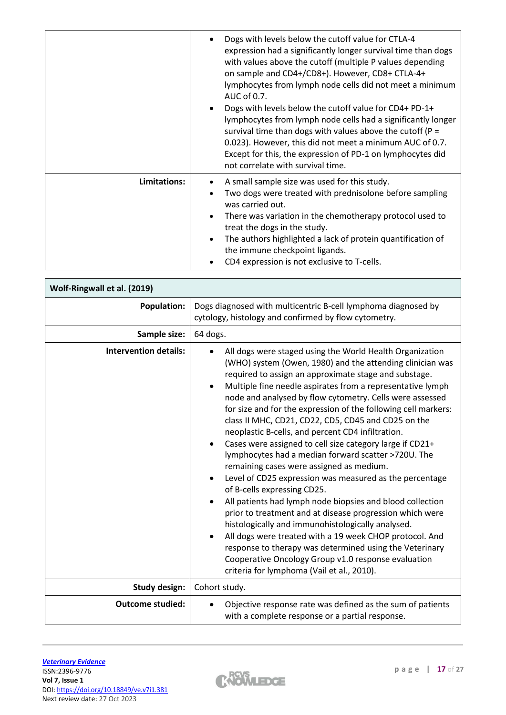|              | Dogs with levels below the cutoff value for CTLA-4<br>expression had a significantly longer survival time than dogs<br>with values above the cutoff (multiple P values depending<br>on sample and CD4+/CD8+). However, CD8+ CTLA-4+<br>lymphocytes from lymph node cells did not meet a minimum<br>AUC of 0.7.<br>Dogs with levels below the cutoff value for CD4+ PD-1+<br>$\bullet$<br>lymphocytes from lymph node cells had a significantly longer<br>survival time than dogs with values above the cutoff ( $P =$<br>0.023). However, this did not meet a minimum AUC of 0.7.<br>Except for this, the expression of PD-1 on lymphocytes did<br>not correlate with survival time. |
|--------------|--------------------------------------------------------------------------------------------------------------------------------------------------------------------------------------------------------------------------------------------------------------------------------------------------------------------------------------------------------------------------------------------------------------------------------------------------------------------------------------------------------------------------------------------------------------------------------------------------------------------------------------------------------------------------------------|
| Limitations: | A small sample size was used for this study.<br>Two dogs were treated with prednisolone before sampling<br>was carried out.<br>There was variation in the chemotherapy protocol used to<br>$\bullet$<br>treat the dogs in the study.<br>The authors highlighted a lack of protein quantification of<br>$\bullet$<br>the immune checkpoint ligands.<br>CD4 expression is not exclusive to T-cells.                                                                                                                                                                                                                                                                                    |

| Wolf-Ringwall et al. (2019)  |                                                                                                                                                                                                                                                                                                                                                                                                                                                                                                                                                                                                                                                                                                                                                                                                                                                                                                                                                                                                                                                                                                                                                                       |  |  |  |  |  |  |
|------------------------------|-----------------------------------------------------------------------------------------------------------------------------------------------------------------------------------------------------------------------------------------------------------------------------------------------------------------------------------------------------------------------------------------------------------------------------------------------------------------------------------------------------------------------------------------------------------------------------------------------------------------------------------------------------------------------------------------------------------------------------------------------------------------------------------------------------------------------------------------------------------------------------------------------------------------------------------------------------------------------------------------------------------------------------------------------------------------------------------------------------------------------------------------------------------------------|--|--|--|--|--|--|
| <b>Population:</b>           | Dogs diagnosed with multicentric B-cell lymphoma diagnosed by<br>cytology, histology and confirmed by flow cytometry.                                                                                                                                                                                                                                                                                                                                                                                                                                                                                                                                                                                                                                                                                                                                                                                                                                                                                                                                                                                                                                                 |  |  |  |  |  |  |
| Sample size:                 | 64 dogs.                                                                                                                                                                                                                                                                                                                                                                                                                                                                                                                                                                                                                                                                                                                                                                                                                                                                                                                                                                                                                                                                                                                                                              |  |  |  |  |  |  |
| <b>Intervention details:</b> | All dogs were staged using the World Health Organization<br>(WHO) system (Owen, 1980) and the attending clinician was<br>required to assign an approximate stage and substage.<br>Multiple fine needle aspirates from a representative lymph<br>node and analysed by flow cytometry. Cells were assessed<br>for size and for the expression of the following cell markers:<br>class II MHC, CD21, CD22, CD5, CD45 and CD25 on the<br>neoplastic B-cells, and percent CD4 infiltration.<br>Cases were assigned to cell size category large if CD21+<br>$\bullet$<br>lymphocytes had a median forward scatter >720U. The<br>remaining cases were assigned as medium.<br>Level of CD25 expression was measured as the percentage<br>of B-cells expressing CD25.<br>All patients had lymph node biopsies and blood collection<br>prior to treatment and at disease progression which were<br>histologically and immunohistologically analysed.<br>All dogs were treated with a 19 week CHOP protocol. And<br>response to therapy was determined using the Veterinary<br>Cooperative Oncology Group v1.0 response evaluation<br>criteria for lymphoma (Vail et al., 2010). |  |  |  |  |  |  |
| <b>Study design:</b>         | Cohort study.                                                                                                                                                                                                                                                                                                                                                                                                                                                                                                                                                                                                                                                                                                                                                                                                                                                                                                                                                                                                                                                                                                                                                         |  |  |  |  |  |  |
| <b>Outcome studied:</b>      | Objective response rate was defined as the sum of patients<br>with a complete response or a partial response.                                                                                                                                                                                                                                                                                                                                                                                                                                                                                                                                                                                                                                                                                                                                                                                                                                                                                                                                                                                                                                                         |  |  |  |  |  |  |

 $\mathsf{r}$ 



 $\overline{\phantom{a}}$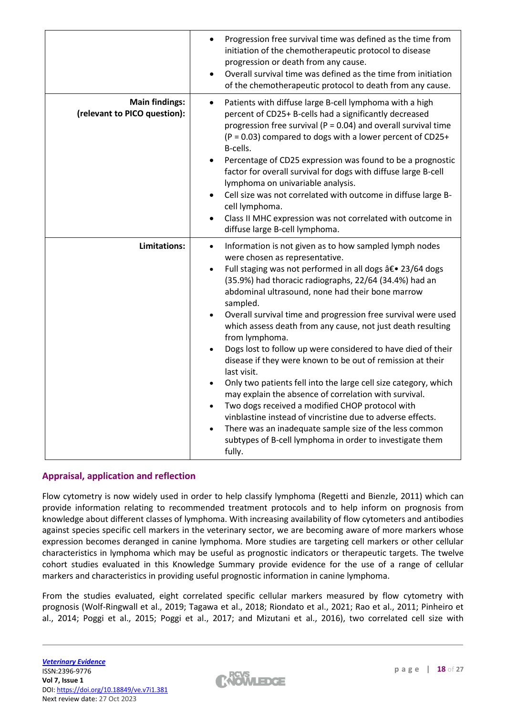|                                                       | Progression free survival time was defined as the time from<br>$\bullet$<br>initiation of the chemotherapeutic protocol to disease<br>progression or death from any cause.<br>Overall survival time was defined as the time from initiation<br>$\bullet$<br>of the chemotherapeutic protocol to death from any cause.                                                                                                                                                                                                                                                                                                                                                                                                                                                                                                                                                                                                                                                                              |
|-------------------------------------------------------|----------------------------------------------------------------------------------------------------------------------------------------------------------------------------------------------------------------------------------------------------------------------------------------------------------------------------------------------------------------------------------------------------------------------------------------------------------------------------------------------------------------------------------------------------------------------------------------------------------------------------------------------------------------------------------------------------------------------------------------------------------------------------------------------------------------------------------------------------------------------------------------------------------------------------------------------------------------------------------------------------|
| <b>Main findings:</b><br>(relevant to PICO question): | Patients with diffuse large B-cell lymphoma with a high<br>$\bullet$<br>percent of CD25+ B-cells had a significantly decreased<br>progression free survival ( $P = 0.04$ ) and overall survival time<br>$(P = 0.03)$ compared to dogs with a lower percent of CD25+<br>B-cells.<br>Percentage of CD25 expression was found to be a prognostic<br>factor for overall survival for dogs with diffuse large B-cell<br>lymphoma on univariable analysis.<br>Cell size was not correlated with outcome in diffuse large B-<br>$\bullet$<br>cell lymphoma.<br>Class II MHC expression was not correlated with outcome in<br>$\bullet$<br>diffuse large B-cell lymphoma.                                                                                                                                                                                                                                                                                                                                  |
| Limitations:                                          | Information is not given as to how sampled lymph nodes<br>$\bullet$<br>were chosen as representative.<br>Full staging was not performed in all dogs â€. 23/64 dogs<br>$\bullet$<br>(35.9%) had thoracic radiographs, 22/64 (34.4%) had an<br>abdominal ultrasound, none had their bone marrow<br>sampled.<br>Overall survival time and progression free survival were used<br>$\bullet$<br>which assess death from any cause, not just death resulting<br>from lymphoma.<br>Dogs lost to follow up were considered to have died of their<br>disease if they were known to be out of remission at their<br>last visit.<br>Only two patients fell into the large cell size category, which<br>may explain the absence of correlation with survival.<br>Two dogs received a modified CHOP protocol with<br>vinblastine instead of vincristine due to adverse effects.<br>There was an inadequate sample size of the less common<br>subtypes of B-cell lymphoma in order to investigate them<br>fully. |

# **Appraisal, application and reflection**

Flow cytometry is now widely used in order to help classify lymphoma (Regetti and Bienzle, 2011) which can provide information relating to recommended treatment protocols and to help inform on prognosis from knowledge about different classes of lymphoma. With increasing availability of flow cytometers and antibodies against species specific cell markers in the veterinary sector, we are becoming aware of more markers whose expression becomes deranged in canine lymphoma. More studies are targeting cell markers or other cellular characteristics in lymphoma which may be useful as prognostic indicators or therapeutic targets. The twelve cohort studies evaluated in this Knowledge Summary provide evidence for the use of a range of cellular markers and characteristics in providing useful prognostic information in canine lymphoma.

From the studies evaluated, eight correlated specific cellular markers measured by flow cytometry with prognosis (Wolf-Ringwall et al., 2019; Tagawa et al., 2018; Riondato et al., 2021; Rao et al., 2011; Pinheiro et al., 2014; Poggi et al., 2015; Poggi et al., 2017; and Mizutani et al., 2016), two correlated cell size with

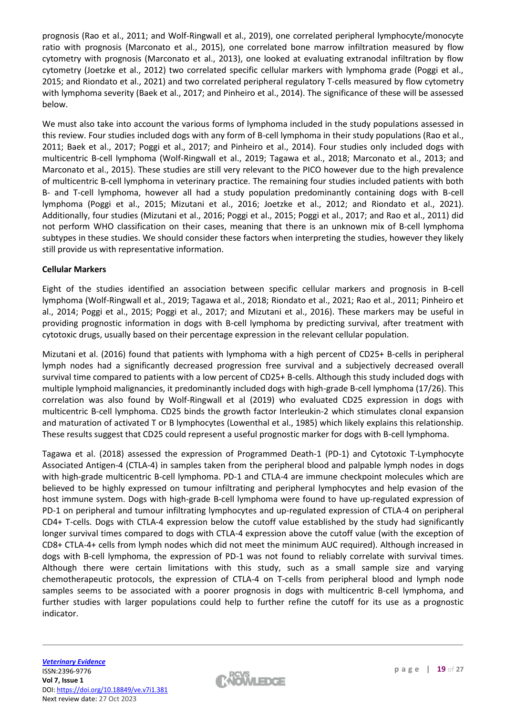prognosis (Rao et al., 2011; and Wolf-Ringwall et al., 2019), one correlated peripheral lymphocyte/monocyte ratio with prognosis (Marconato et al., 2015), one correlated bone marrow infiltration measured by flow cytometry with prognosis (Marconato et al., 2013), one looked at evaluating extranodal infiltration by flow cytometry (Joetzke et al., 2012) two correlated specific cellular markers with lymphoma grade (Poggi et al., 2015; and Riondato et al., 2021) and two correlated peripheral regulatory T-cells measured by flow cytometry with lymphoma severity (Baek et al., 2017; and Pinheiro et al., 2014). The significance of these will be assessed below.

We must also take into account the various forms of lymphoma included in the study populations assessed in this review. Four studies included dogs with any form of B-cell lymphoma in their study populations (Rao et al., 2011; Baek et al., 2017; Poggi et al., 2017; and Pinheiro et al., 2014). Four studies only included dogs with multicentric B-cell lymphoma (Wolf-Ringwall et al., 2019; Tagawa et al., 2018; Marconato et al., 2013; and Marconato et al., 2015). These studies are still very relevant to the PICO however due to the high prevalence of multicentric B-cell lymphoma in veterinary practice. The remaining four studies included patients with both B- and T-cell lymphoma, however all had a study population predominantly containing dogs with B-cell lymphoma (Poggi et al., 2015; Mizutani et al., 2016; Joetzke et al., 2012; and Riondato et al., 2021). Additionally, four studies (Mizutani et al., 2016; Poggi et al., 2015; Poggi et al., 2017; and Rao et al., 2011) did not perform WHO classification on their cases, meaning that there is an unknown mix of B-cell lymphoma subtypes in these studies. We should consider these factors when interpreting the studies, however they likely still provide us with representative information.

# **Cellular Markers**

Eight of the studies identified an association between specific cellular markers and prognosis in B-cell lymphoma (Wolf-Ringwall et al., 2019; Tagawa et al., 2018; Riondato et al., 2021; Rao et al., 2011; Pinheiro et al., 2014; Poggi et al., 2015; Poggi et al., 2017; and Mizutani et al., 2016). These markers may be useful in providing prognostic information in dogs with B-cell lymphoma by predicting survival, after treatment with cytotoxic drugs, usually based on their percentage expression in the relevant cellular population.

Mizutani et al. (2016) found that patients with lymphoma with a high percent of CD25+ B-cells in peripheral lymph nodes had a significantly decreased progression free survival and a subjectively decreased overall survival time compared to patients with a low percent of CD25+ B-cells. Although this study included dogs with multiple lymphoid malignancies, it predominantly included dogs with high-grade B-cell lymphoma (17/26). This correlation was also found by Wolf-Ringwall et al (2019) who evaluated CD25 expression in dogs with multicentric B-cell lymphoma. CD25 binds the growth factor Interleukin-2 which stimulates clonal expansion and maturation of activated T or B lymphocytes (Lowenthal et al., 1985) which likely explains this relationship. These results suggest that CD25 could represent a useful prognostic marker for dogs with B-cell lymphoma.

Tagawa et al. (2018) assessed the expression of Programmed Death-1 (PD-1) and Cytotoxic T-Lymphocyte Associated Antigen-4 (CTLA-4) in samples taken from the peripheral blood and palpable lymph nodes in dogs with high-grade multicentric B-cell lymphoma. PD-1 and CTLA-4 are immune checkpoint molecules which are believed to be highly expressed on tumour infiltrating and peripheral lymphocytes and help evasion of the host immune system. Dogs with high-grade B-cell lymphoma were found to have up-regulated expression of PD-1 on peripheral and tumour infiltrating lymphocytes and up-regulated expression of CTLA-4 on peripheral CD4+ T-cells. Dogs with CTLA-4 expression below the cutoff value established by the study had significantly longer survival times compared to dogs with CTLA-4 expression above the cutoff value (with the exception of CD8+ CTLA-4+ cells from lymph nodes which did not meet the minimum AUC required). Although increased in dogs with B-cell lymphoma, the expression of PD-1 was not found to reliably correlate with survival times. Although there were certain limitations with this study, such as a small sample size and varying chemotherapeutic protocols, the expression of CTLA-4 on T-cells from peripheral blood and lymph node samples seems to be associated with a poorer prognosis in dogs with multicentric B-cell lymphoma, and further studies with larger populations could help to further refine the cutoff for its use as a prognostic indicator.

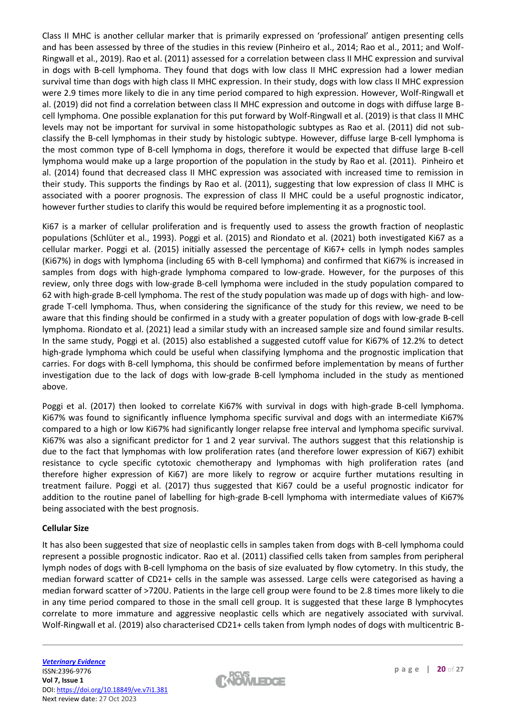Class II MHC is another cellular marker that is primarily expressed on 'professional' antigen presenting cells and has been assessed by three of the studies in this review (Pinheiro et al., 2014; Rao et al., 2011; and Wolf-Ringwall et al., 2019). Rao et al. (2011) assessed for a correlation between class II MHC expression and survival in dogs with B-cell lymphoma. They found that dogs with low class II MHC expression had a lower median survival time than dogs with high class II MHC expression. In their study, dogs with low class II MHC expression were 2.9 times more likely to die in any time period compared to high expression. However, Wolf-Ringwall et al. (2019) did not find a correlation between class II MHC expression and outcome in dogs with diffuse large Bcell lymphoma. One possible explanation for this put forward by Wolf-Ringwall et al. (2019) is that class II MHC levels may not be important for survival in some histopathologic subtypes as Rao et al. (2011) did not subclassify the B-cell lymphomas in their study by histologic subtype. However, diffuse large B-cell lymphoma is the most common type of B-cell lymphoma in dogs, therefore it would be expected that diffuse large B-cell lymphoma would make up a large proportion of the population in the study by Rao et al. (2011). Pinheiro et al. (2014) found that decreased class II MHC expression was associated with increased time to remission in their study. This supports the findings by Rao et al. (2011), suggesting that low expression of class II MHC is associated with a poorer prognosis. The expression of class II MHC could be a useful prognostic indicator, however further studies to clarify this would be required before implementing it as a prognostic tool.

Ki67 is a marker of cellular proliferation and is frequently used to assess the growth fraction of neoplastic populations (Schlüter et al., 1993). Poggi et al. (2015) and Riondato et al. (2021) both investigated Ki67 as a cellular marker. Poggi et al. (2015) initially assessed the percentage of Ki67+ cells in lymph nodes samples (Ki67%) in dogs with lymphoma (including 65 with B-cell lymphoma) and confirmed that Ki67% is increased in samples from dogs with high-grade lymphoma compared to low-grade. However, for the purposes of this review, only three dogs with low-grade B-cell lymphoma were included in the study population compared to 62 with high-grade B-cell lymphoma. The rest of the study population was made up of dogs with high- and lowgrade T-cell lymphoma. Thus, when considering the significance of the study for this review, we need to be aware that this finding should be confirmed in a study with a greater population of dogs with low-grade B-cell lymphoma. Riondato et al. (2021) lead a similar study with an increased sample size and found similar results. In the same study, Poggi et al. (2015) also established a suggested cutoff value for Ki67% of 12.2% to detect high-grade lymphoma which could be useful when classifying lymphoma and the prognostic implication that carries. For dogs with B-cell lymphoma, this should be confirmed before implementation by means of further investigation due to the lack of dogs with low-grade B-cell lymphoma included in the study as mentioned above.

Poggi et al. (2017) then looked to correlate Ki67% with survival in dogs with high-grade B-cell lymphoma. Ki67% was found to significantly influence lymphoma specific survival and dogs with an intermediate Ki67% compared to a high or low Ki67% had significantly longer relapse free interval and lymphoma specific survival. Ki67% was also a significant predictor for 1 and 2 year survival. The authors suggest that this relationship is due to the fact that lymphomas with low proliferation rates (and therefore lower expression of Ki67) exhibit resistance to cycle specific cytotoxic chemotherapy and lymphomas with high proliferation rates (and therefore higher expression of Ki67) are more likely to regrow or acquire further mutations resulting in treatment failure. Poggi et al. (2017) thus suggested that Ki67 could be a useful prognostic indicator for addition to the routine panel of labelling for high-grade B-cell lymphoma with intermediate values of Ki67% being associated with the best prognosis.

# **Cellular Size**

It has also been suggested that size of neoplastic cells in samples taken from dogs with B-cell lymphoma could represent a possible prognostic indicator. Rao et al. (2011) classified cells taken from samples from peripheral lymph nodes of dogs with B-cell lymphoma on the basis of size evaluated by flow cytometry. In this study, the median forward scatter of CD21+ cells in the sample was assessed. Large cells were categorised as having a median forward scatter of >720U. Patients in the large cell group were found to be 2.8 times more likely to die in any time period compared to those in the small cell group. It is suggested that these large B lymphocytes correlate to more immature and aggressive neoplastic cells which are negatively associated with survival. Wolf-Ringwall et al. (2019) also characterised CD21+ cells taken from lymph nodes of dogs with multicentric B-

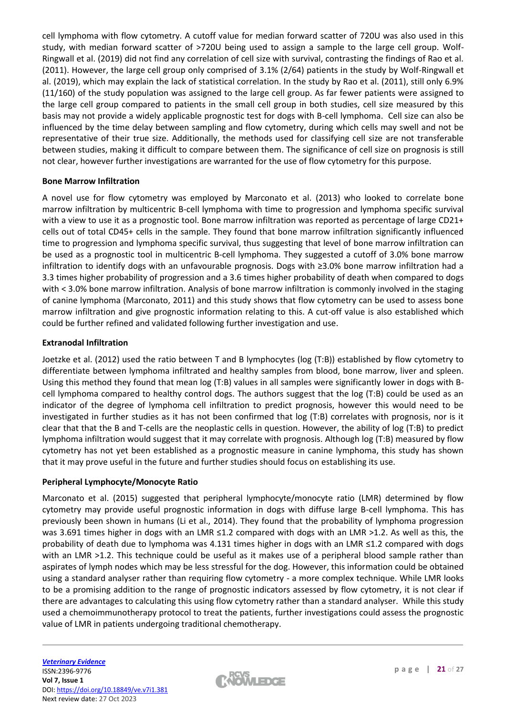cell lymphoma with flow cytometry. A cutoff value for median forward scatter of 720U was also used in this study, with median forward scatter of >720U being used to assign a sample to the large cell group. Wolf-Ringwall et al. (2019) did not find any correlation of cell size with survival, contrasting the findings of Rao et al. (2011). However, the large cell group only comprised of 3.1% (2/64) patients in the study by Wolf-Ringwall et al. (2019), which may explain the lack of statistical correlation. In the study by Rao et al. (2011), still only 6.9% (11/160) of the study population was assigned to the large cell group. As far fewer patients were assigned to the large cell group compared to patients in the small cell group in both studies, cell size measured by this basis may not provide a widely applicable prognostic test for dogs with B-cell lymphoma. Cell size can also be influenced by the time delay between sampling and flow cytometry, during which cells may swell and not be representative of their true size. Additionally, the methods used for classifying cell size are not transferable between studies, making it difficult to compare between them. The significance of cell size on prognosis is still not clear, however further investigations are warranted for the use of flow cytometry for this purpose.

# **Bone Marrow Infiltration**

A novel use for flow cytometry was employed by Marconato et al. (2013) who looked to correlate bone marrow infiltration by multicentric B-cell lymphoma with time to progression and lymphoma specific survival with a view to use it as a prognostic tool. Bone marrow infiltration was reported as percentage of large CD21+ cells out of total CD45+ cells in the sample. They found that bone marrow infiltration significantly influenced time to progression and lymphoma specific survival, thus suggesting that level of bone marrow infiltration can be used as a prognostic tool in multicentric B-cell lymphoma. They suggested a cutoff of 3.0% bone marrow infiltration to identify dogs with an unfavourable prognosis. Dogs with ≥3.0% bone marrow infiltration had a 3.3 times higher probability of progression and a 3.6 times higher probability of death when compared to dogs with < 3.0% bone marrow infiltration. Analysis of bone marrow infiltration is commonly involved in the staging of canine lymphoma (Marconato, 2011) and this study shows that flow cytometry can be used to assess bone marrow infiltration and give prognostic information relating to this. A cut-off value is also established which could be further refined and validated following further investigation and use.

# **Extranodal Infiltration**

Joetzke et al. (2012) used the ratio between T and B lymphocytes (log (T:B)) established by flow cytometry to differentiate between lymphoma infiltrated and healthy samples from blood, bone marrow, liver and spleen. Using this method they found that mean log (T:B) values in all samples were significantly lower in dogs with Bcell lymphoma compared to healthy control dogs. The authors suggest that the log (T:B) could be used as an indicator of the degree of lymphoma cell infiltration to predict prognosis, however this would need to be investigated in further studies as it has not been confirmed that log (T:B) correlates with prognosis, nor is it clear that that the B and T-cells are the neoplastic cells in question. However, the ability of log (T:B) to predict lymphoma infiltration would suggest that it may correlate with prognosis. Although log (T:B) measured by flow cytometry has not yet been established as a prognostic measure in canine lymphoma, this study has shown that it may prove useful in the future and further studies should focus on establishing its use.

#### **Peripheral Lymphocyte/Monocyte Ratio**

Marconato et al. (2015) suggested that peripheral lymphocyte/monocyte ratio (LMR) determined by flow cytometry may provide useful prognostic information in dogs with diffuse large B-cell lymphoma. This has previously been shown in humans (Li et al., 2014). They found that the probability of lymphoma progression was 3.691 times higher in dogs with an LMR ≤1.2 compared with dogs with an LMR >1.2. As well as this, the probability of death due to lymphoma was 4.131 times higher in dogs with an LMR ≤1.2 compared with dogs with an LMR >1.2. This technique could be useful as it makes use of a peripheral blood sample rather than aspirates of lymph nodes which may be less stressful for the dog. However, this information could be obtained using a standard analyser rather than requiring flow cytometry - a more complex technique. While LMR looks to be a promising addition to the range of prognostic indicators assessed by flow cytometry, it is not clear if there are advantages to calculating this using flow cytometry rather than a standard analyser. While this study used a chemoimmunotherapy protocol to treat the patients, further investigations could assess the prognostic value of LMR in patients undergoing traditional chemotherapy.

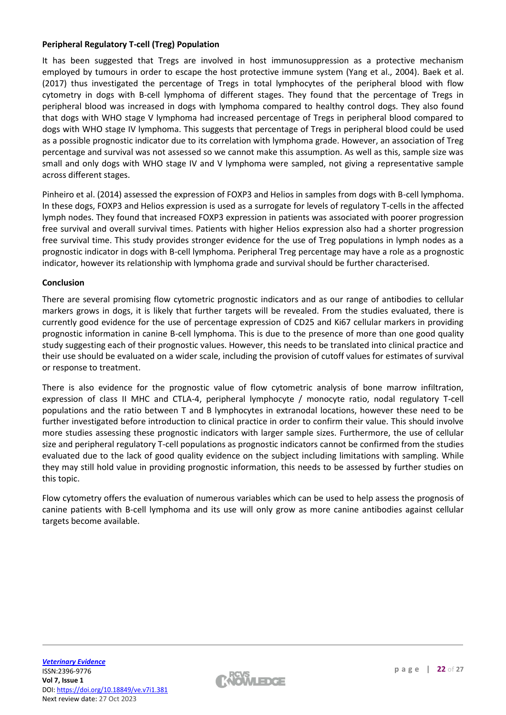# **Peripheral Regulatory T-cell (Treg) Population**

It has been suggested that Tregs are involved in host immunosuppression as a protective mechanism employed by tumours in order to escape the host protective immune system (Yang et al., 2004). Baek et al. (2017) thus investigated the percentage of Tregs in total lymphocytes of the peripheral blood with flow cytometry in dogs with B-cell lymphoma of different stages. They found that the percentage of Tregs in peripheral blood was increased in dogs with lymphoma compared to healthy control dogs. They also found that dogs with WHO stage V lymphoma had increased percentage of Tregs in peripheral blood compared to dogs with WHO stage IV lymphoma. This suggests that percentage of Tregs in peripheral blood could be used as a possible prognostic indicator due to its correlation with lymphoma grade. However, an association of Treg percentage and survival was not assessed so we cannot make this assumption. As well as this, sample size was small and only dogs with WHO stage IV and V lymphoma were sampled, not giving a representative sample across different stages.

Pinheiro et al. (2014) assessed the expression of FOXP3 and Helios in samples from dogs with B-cell lymphoma. In these dogs, FOXP3 and Helios expression is used as a surrogate for levels of regulatory T-cells in the affected lymph nodes. They found that increased FOXP3 expression in patients was associated with poorer progression free survival and overall survival times. Patients with higher Helios expression also had a shorter progression free survival time. This study provides stronger evidence for the use of Treg populations in lymph nodes as a prognostic indicator in dogs with B-cell lymphoma. Peripheral Treg percentage may have a role as a prognostic indicator, however its relationship with lymphoma grade and survival should be further characterised.

# **Conclusion**

There are several promising flow cytometric prognostic indicators and as our range of antibodies to cellular markers grows in dogs, it is likely that further targets will be revealed. From the studies evaluated, there is currently good evidence for the use of percentage expression of CD25 and Ki67 cellular markers in providing prognostic information in canine B-cell lymphoma. This is due to the presence of more than one good quality study suggesting each of their prognostic values. However, this needs to be translated into clinical practice and their use should be evaluated on a wider scale, including the provision of cutoff values for estimates of survival or response to treatment.

There is also evidence for the prognostic value of flow cytometric analysis of bone marrow infiltration, expression of class II MHC and CTLA-4, peripheral lymphocyte / monocyte ratio, nodal regulatory T-cell populations and the ratio between T and B lymphocytes in extranodal locations, however these need to be further investigated before introduction to clinical practice in order to confirm their value. This should involve more studies assessing these prognostic indicators with larger sample sizes. Furthermore, the use of cellular size and peripheral regulatory T-cell populations as prognostic indicators cannot be confirmed from the studies evaluated due to the lack of good quality evidence on the subject including limitations with sampling. While they may still hold value in providing prognostic information, this needs to be assessed by further studies on this topic.

Flow cytometry offers the evaluation of numerous variables which can be used to help assess the prognosis of canine patients with B-cell lymphoma and its use will only grow as more canine antibodies against cellular targets become available.

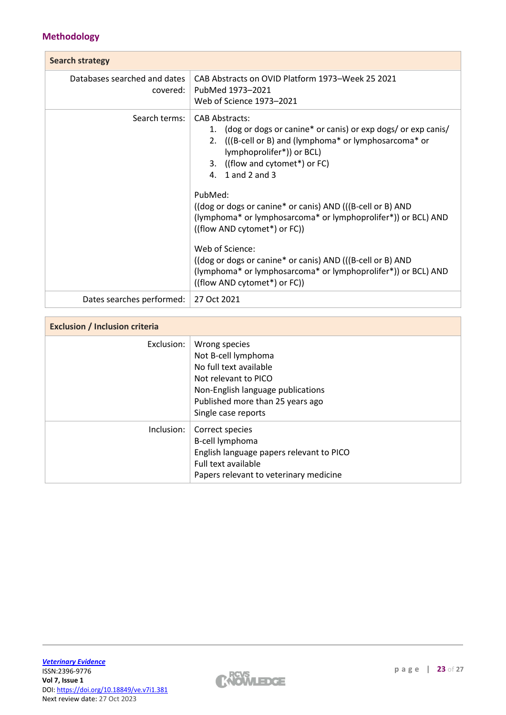# **Methodology**

| <b>Search strategy</b>                   |                                                                                                                                                                                                                                                                                                                                                                                                                                                                                                                                                                                                  |  |  |  |
|------------------------------------------|--------------------------------------------------------------------------------------------------------------------------------------------------------------------------------------------------------------------------------------------------------------------------------------------------------------------------------------------------------------------------------------------------------------------------------------------------------------------------------------------------------------------------------------------------------------------------------------------------|--|--|--|
| Databases searched and dates<br>covered: | CAB Abstracts on OVID Platform 1973–Week 25 2021<br>PubMed 1973-2021<br>Web of Science 1973-2021                                                                                                                                                                                                                                                                                                                                                                                                                                                                                                 |  |  |  |
| Search terms:                            | <b>CAB Abstracts:</b><br>1. (dog or dogs or canine* or canis) or exp dogs/ or exp canis/<br>2. ((B-cell or B) and (lymphoma* or lymphosarcoma* or<br>lymphoprolifer*)) or BCL)<br>3. ((flow and cytomet*) or FC)<br>4. 1 and 2 and 3<br>PubMed:<br>((dog or dogs or canine* or canis) AND (((B-cell or B) AND<br>(lymphoma* or lymphosarcoma* or lymphoprolifer*)) or BCL) AND<br>((flow AND cytomet*) or FC))<br>Web of Science:<br>((dog or dogs or canine* or canis) AND (((B-cell or B) AND<br>(lymphoma* or lymphosarcoma* or lymphoprolifer*)) or BCL) AND<br>((flow AND cytomet*) or FC)) |  |  |  |
| Dates searches performed:                | 27 Oct 2021                                                                                                                                                                                                                                                                                                                                                                                                                                                                                                                                                                                      |  |  |  |

| <b>Exclusion / Inclusion criteria</b> |                                                                                                                                                                                        |  |  |  |  |
|---------------------------------------|----------------------------------------------------------------------------------------------------------------------------------------------------------------------------------------|--|--|--|--|
| Exclusion:                            | Wrong species<br>Not B-cell lymphoma<br>No full text available<br>Not relevant to PICO<br>Non-English language publications<br>Published more than 25 years ago<br>Single case reports |  |  |  |  |
| Inclusion:                            | Correct species<br>B-cell lymphoma<br>English language papers relevant to PICO<br>Full text available<br>Papers relevant to veterinary medicine                                        |  |  |  |  |

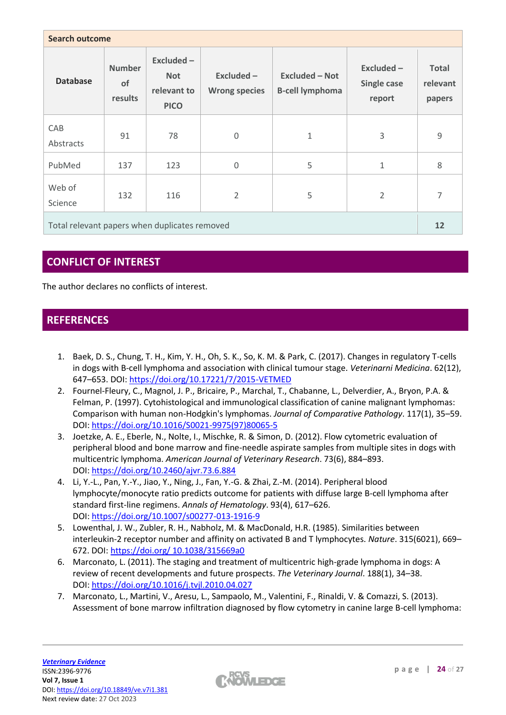| <b>Search outcome</b>                         |                                |                                                       |                                    |                                                 |                                       |                                    |  |  |  |
|-----------------------------------------------|--------------------------------|-------------------------------------------------------|------------------------------------|-------------------------------------------------|---------------------------------------|------------------------------------|--|--|--|
| <b>Database</b>                               | <b>Number</b><br>of<br>results | Excluded-<br><b>Not</b><br>relevant to<br><b>PICO</b> | Excluded -<br><b>Wrong species</b> | <b>Excluded - Not</b><br><b>B-cell lymphoma</b> | $Excluded -$<br>Single case<br>report | <b>Total</b><br>relevant<br>papers |  |  |  |
| CAB<br>Abstracts                              | 91                             | 78                                                    | $\mathbf 0$                        | $\mathbf{1}$                                    | 3                                     | $\overline{9}$                     |  |  |  |
| PubMed                                        | 137                            | 123                                                   | $\mathbf 0$                        | 5                                               | $\mathbf{1}$                          | 8                                  |  |  |  |
| Web of<br>Science                             | 132                            | 116                                                   | $\overline{2}$                     | 5                                               | $\overline{2}$                        | $\overline{7}$                     |  |  |  |
| Total relevant papers when duplicates removed |                                |                                                       |                                    |                                                 |                                       |                                    |  |  |  |

# **CONFLICT OF INTEREST**

The author declares no conflicts of interest.

# **REFERENCES**

- 1. Baek, D. S., Chung, T. H., Kim, Y. H., Oh, S. K., So, K. M. & Park, C. (2017). Changes in regulatory T-cells in dogs with B-cell lymphoma and association with clinical tumour stage. *Veterinarni Medicina*. 62(12), 647–653. DOI: <https://doi.org/10.17221/7/2015-VETMED>
- 2. Fournel-Fleury, C., Magnol, J. P., Bricaire, P., Marchal, T., Chabanne, L., Delverdier, A., Bryon, P.A. & Felman, P. (1997). Cytohistological and immunological classification of canine malignant lymphomas: Comparison with human non-Hodgkin's lymphomas. *Journal of Comparative Pathology*. 117(1), 35–59. DOI: [https://doi.org/10.1016/S0021-9975\(97\)80065-5](https://doi.org/10.1016/S0021-9975(97)80065-5)
- 3. Joetzke, A. E., Eberle, N., Nolte, I., Mischke, R. & Simon, D. (2012). Flow cytometric evaluation of peripheral blood and bone marrow and fine-needle aspirate samples from multiple sites in dogs with multicentric lymphoma. *American Journal of Veterinary Research*. 73(6), 884–893. DOI: <https://doi.org/10.2460/ajvr.73.6.884>
- 4. Li, Y.-L., Pan, Y.-Y., Jiao, Y., Ning, J., Fan, Y.-G. & Zhai, Z.-M. (2014). Peripheral blood lymphocyte/monocyte ratio predicts outcome for patients with diffuse large B-cell lymphoma after standard first-line regimens. *Annals of Hematology*. 93(4), 617–626. DOI: <https://doi.org/10.1007/s00277-013-1916-9>
- 5. Lowenthal, J. W., Zubler, R. H., Nabholz, M. & MacDonald, H.R. (1985). Similarities between interleukin-2 receptor number and affinity on activated B and T lymphocytes. *Nature*. 315(6021), 669– 672. DOI: [https://doi.org/ 10.1038/315669a0](https://doi.org/%2010.1038/315669a0)
- 6. Marconato, L. (2011). The staging and treatment of multicentric high-grade lymphoma in dogs: A review of recent developments and future prospects. *The Veterinary Journal*. 188(1), 34–38. DOI: <https://doi.org/10.1016/j.tvjl.2010.04.027>
- 7. Marconato, L., Martini, V., Aresu, L., Sampaolo, M., Valentini, F., Rinaldi, V. & Comazzi, S. (2013). Assessment of bone marrow infiltration diagnosed by flow cytometry in canine large B-cell lymphoma:

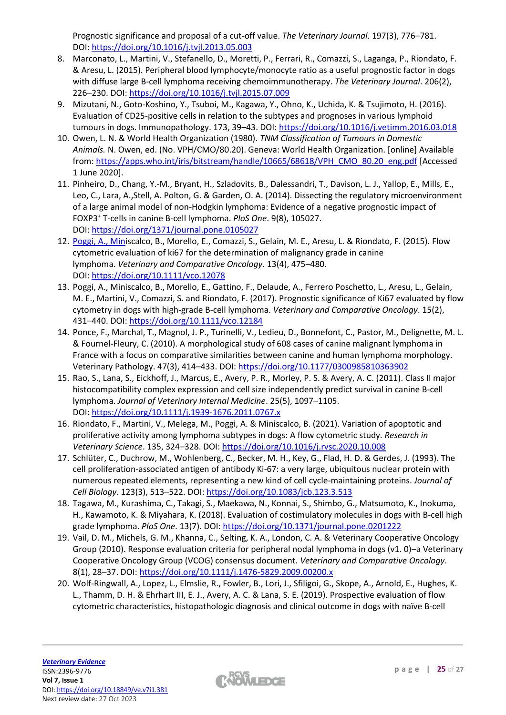Prognostic significance and proposal of a cut-off value. *The Veterinary Journal*. 197(3), 776–781. DOI: <https://doi.org/10.1016/j.tvjl.2013.05.003>

- 8. Marconato, L., Martini, V., Stefanello, D., Moretti, P., Ferrari, R., Comazzi, S., Laganga, P., Riondato, F. & Aresu, L. (2015). Peripheral blood lymphocyte/monocyte ratio as a useful prognostic factor in dogs with diffuse large B-cell lymphoma receiving chemoimmunotherapy. *The Veterinary Journal*. 206(2), 226–230. DOI: <https://doi.org/10.1016/j.tvjl.2015.07.009>
- 9. Mizutani, N., Goto-Koshino, Y., Tsuboi, M., Kagawa, Y., Ohno, K., Uchida, K. & Tsujimoto, H. (2016). Evaluation of CD25-positive cells in relation to the subtypes and prognoses in various lymphoid tumours in dogs. Immunopathology. 173, 39–43. DOI: <https://doi.org/10.1016/j.vetimm.2016.03.018>
- 10. Owen, L. N. & World Health Organization (1980). *TNM Classification of Tumours in Domestic Animals.* N. Owen, ed. (No. VPH/CMO/80.20). Geneva: World Health Organization. [online] Available from: [https://apps.who.int/iris/bitstream/handle/10665/68618/VPH\\_CMO\\_80.20\\_eng.pdf](https://apps.who.int/iris/bitstream/handle/10665/68618/VPH_CMO_80.20_eng.pdf) [Accessed 1 June 2020].
- 11. Pinheiro, D., Chang, Y.-M., Bryant, H., Szladovits, B., Dalessandri, T., Davison, L. J., Yallop, E., Mills, E., Leo, C., Lara, A.,Stell, A. Polton, G. & Garden, O. A. (2014). Dissecting the regulatory microenvironment of a large animal model of non-Hodgkin lymphoma: Evidence of a negative prognostic impact of FOXP3<sup>+</sup> T-cells in canine B-cell lymphoma. *PloS One*. 9(8), 105027. DOI: <https://doi.org/1371/journal.pone.0105027>
- 12. [Poggi, A., Mini](https://doi.org/10.1371/journal.pone.0105027)scalco, B., Morello, E., Comazzi, S., Gelain, M. E., Aresu, L. & Riondato, F. (2015). Flow cytometric evaluation of ki67 for the determination of malignancy grade in canine lymphoma. *Veterinary and Comparative Oncology*. 13(4), 475–480. DOI: <https://doi.org/10.1111/vco.12078>
- 13. Poggi, A., Miniscalco, B., Morello, E., Gattino, F., Delaude, A., Ferrero Poschetto, L., Aresu, L., Gelain, M. E., Martini, V., Comazzi, S. and Riondato, F. (2017). Prognostic significance of Ki67 evaluated by flow cytometry in dogs with high‐grade B‐cell lymphoma. *Veterinary and Comparative Oncology*. 15(2), 431–440. DOI: <https://doi.org/10.1111/vco.12184>
- 14. Ponce, F., Marchal, T., Magnol, J. P., Turinelli, V., Ledieu, D., Bonnefont, C., Pastor, M., Delignette, M. L. & Fournel-Fleury, C. (2010). A morphological study of 608 cases of canine malignant lymphoma in France with a focus on comparative similarities between canine and human lymphoma morphology. Veterinary Pathology. 47(3), 414–433. DOI: <https://doi.org/10.1177/0300985810363902>
- 15. Rao, S., Lana, S., Eickhoff, J., Marcus, E., Avery, P. R., Morley, P. S. & Avery, A. C. (2011). Class II major histocompatibility complex expression and cell size independently predict survival in canine B-cell lymphoma. *Journal of Veterinary Internal Medicine*. 25(5), 1097–1105. DOI: <https://doi.org/10.1111/j.1939-1676.2011.0767.x>
- 16. Riondato, F., Martini, V., Melega, M., Poggi, A. & Miniscalco, B. (2021). Variation of apoptotic and proliferative activity among lymphoma subtypes in dogs: A flow cytometric study. *Research in Veterinary Science*. 135, 324–328. DOI: <https://doi.org/10.1016/j.rvsc.2020.10.008>
- 17. Schlüter, C., Duchrow, M., Wohlenberg, C., Becker, M. H., Key, G., Flad, H. D. & Gerdes, J. (1993). The cell proliferation-associated antigen of antibody Ki-67: a very large, ubiquitous nuclear protein with numerous repeated elements, representing a new kind of cell cycle-maintaining proteins. *Journal of Cell Biology*. 123(3), 513–522. DOI: <https://doi.org/10.1083/jcb.123.3.513>
- 18. Tagawa, M., Kurashima, C., Takagi, S., Maekawa, N., Konnai, S., Shimbo, G., Matsumoto, K., Inokuma, H., Kawamoto, K. & Miyahara, K. (2018). Evaluation of costimulatory molecules in dogs with B-cell high grade lymphoma. *PloS One*. 13(7). DOI: <https://doi.org/10.1371/journal.pone.0201222>
- 19. Vail, D. M., Michels, G. M., Khanna, C., Selting, K. A., London, C. A. & Veterinary Cooperative Oncology Group (2010). Response evaluation criteria for peripheral nodal lymphoma in dogs (v1. 0)–a Veterinary Cooperative Oncology Group (VCOG) consensus document. *Veterinary and Comparative Oncology*. 8(1), 28–37. DOI: <https://doi.org/10.1111/j.1476-5829.2009.00200.x>
- 20. Wolf‐Ringwall, A., Lopez, L., Elmslie, R., Fowler, B., Lori, J., Sfiligoi, G., Skope, A., Arnold, E., Hughes, K. L., Thamm, D. H. & Ehrhart III, E. J., Avery, A. C. & Lana, S. E. (2019). Prospective evaluation of flow cytometric characteristics, histopathologic diagnosis and clinical outcome in dogs with naïve B‐cell

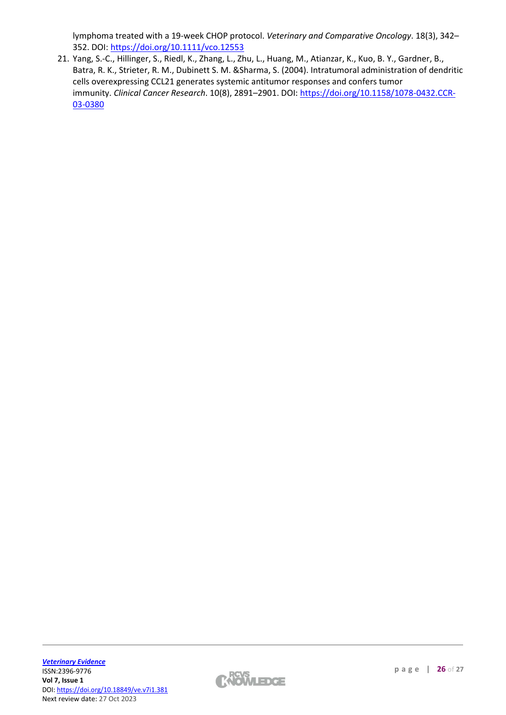lymphoma treated with a 19‐week CHOP protocol. *Veterinary and Comparative Oncology*. 18(3), 342– 352. DOI: <https://doi.org/10.1111/vco.12553>

21. Yang, S.-C., Hillinger, S., Riedl, K., Zhang, L., Zhu, L., Huang, M., Atianzar, K., Kuo, B. Y., Gardner, B., Batra, R. K., Strieter, R. M., Dubinett S. M. &Sharma, S. (2004). Intratumoral administration of dendritic cells overexpressing CCL21 generates systemic antitumor responses and confers tumor immunity. *Clinical Cancer Research*. 10(8), 2891–2901. DOI: [https://doi.org/10.1158/1078-0432.CCR-](https://doi.org/10.1158/1078-0432.CCR-03-0380)[03-0380](https://doi.org/10.1158/1078-0432.CCR-03-0380)